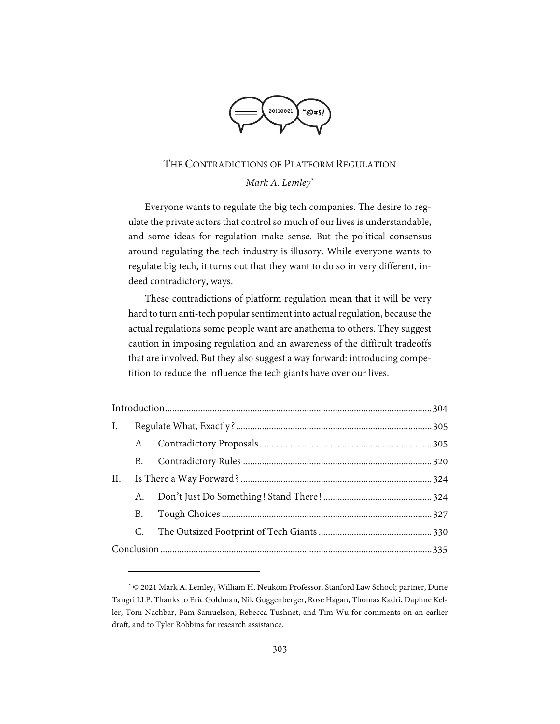

# THE CONTRADICTIONS OF PLATFORM REGULATION *Mark A. Lemley\**

Everyone wants to regulate the big tech companies. The desire to regulate the private actors that control so much of our lives is understandable, and some ideas for regulation make sense. But the political consensus around regulating the tech industry is illusory. While everyone wants to regulate big tech, it turns out that they want to do so in very different, indeed contradictory, ways.

These contradictions of platform regulation mean that it will be very hard to turn anti-tech popular sentiment into actual regulation, because the actual regulations some people want are anathema to others. They suggest caution in imposing regulation and an awareness of the difficult tradeoffs that are involved. But they also suggest a way forward: introducing competition to reduce the influence the tech giants have over our lives.

| I.  |    |  |  |
|-----|----|--|--|
|     |    |  |  |
|     | B. |  |  |
| II. |    |  |  |
|     | A. |  |  |
|     | B. |  |  |
|     | C. |  |  |
|     |    |  |  |

<sup>\*</sup> © 2021 Mark A. Lemley, William H. Neukom Professor, Stanford Law School; partner, Durie Tangri LLP. Thanks to Eric Goldman, Nik Guggenberger, Rose Hagan, Thomas Kadri, Daphne Keller, Tom Nachbar, Pam Samuelson, Rebecca Tushnet, and Tim Wu for comments on an earlier draft, and to Tyler Robbins for research assistance.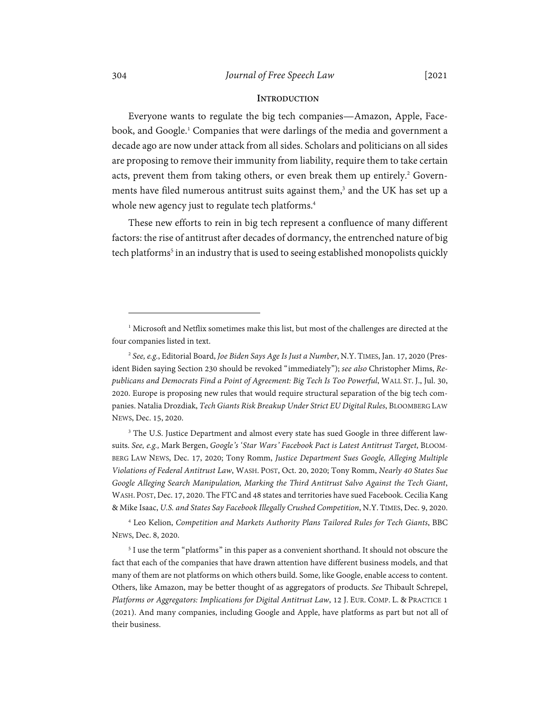# 304 *Journal of Free Speech Law* [2021

# **INTRODUCTION**

Everyone wants to regulate the big tech companies—Amazon, Apple, Facebook, and Google.<sup>1</sup> Companies that were darlings of the media and government a decade ago are now under attack from all sides. Scholars and politicians on all sides are proposing to remove their immunity from liability, require them to take certain acts, prevent them from taking others, or even break them up entirely.<sup>2</sup> Governments have filed numerous antitrust suits against them,<sup>3</sup> and the UK has set up a whole new agency just to regulate tech platforms.<sup>4</sup>

These new efforts to rein in big tech represent a confluence of many different factors: the rise of antitrust after decades of dormancy, the entrenched nature of big tech platforms<sup>5</sup> in an industry that is used to seeing established monopolists quickly

<sup>3</sup> The U.S. Justice Department and almost every state has sued Google in three different lawsuits. *See, e.g.,* Mark Bergen, *Google's 'Star Wars' Facebook Pact is Latest Antitrust Target*, BLOOM-BERG LAW NEWS, Dec. 17, 2020; Tony Romm, *Justice Department Sues Google, Alleging Multiple Violations of Federal Antitrust Law*, WASH. POST, Oct. 20, 2020; Tony Romm, *Nearly 40 States Sue Google Alleging Search Manipulation, Marking the Third Antitrust Salvo Against the Tech Giant*, WASH. POST, Dec. 17, 2020. The FTC and 48 states and territories have sued Facebook. Cecilia Kang & Mike Isaac, *U.S. and States Say Facebook Illegally Crushed Competition*, N.Y. TIMES, Dec. 9, 2020.

4 Leo Kelion, *Competition and Markets Authority Plans Tailored Rules for Tech Giants*, BBC NEWS, Dec. 8, 2020.

<sup>5</sup> I use the term "platforms" in this paper as a convenient shorthand. It should not obscure the fact that each of the companies that have drawn attention have different business models, and that many of them are not platforms on which others build. Some, like Google, enable access to content. Others, like Amazon, may be better thought of as aggregators of products. *See* Thibault Schrepel, *Platforms or Aggregators: Implications for Digital Antitrust Law*, 12 J. EUR. COMP. L. & PRACTICE 1 (2021). And many companies, including Google and Apple, have platforms as part but not all of their business.

<sup>&</sup>lt;sup>1</sup> Microsoft and Netflix sometimes make this list, but most of the challenges are directed at the four companies listed in text.

<sup>2</sup> *See, e.g.*, Editorial Board, *Joe Biden Says Age Is Just a Number*, N.Y. TIMES, Jan. 17, 2020 (President Biden saying Section 230 should be revoked "immediately"); *see also* Christopher Mims, *Republicans and Democrats Find a Point of Agreement: Big Tech Is Too Powerful*, WALL ST. J., Jul. 30, 2020. Europe is proposing new rules that would require structural separation of the big tech companies. Natalia Drozdiak, *Tech Giants Risk Breakup Under Strict EU Digital Rules*, BLOOMBERG LAW NEWS, Dec. 15, 2020.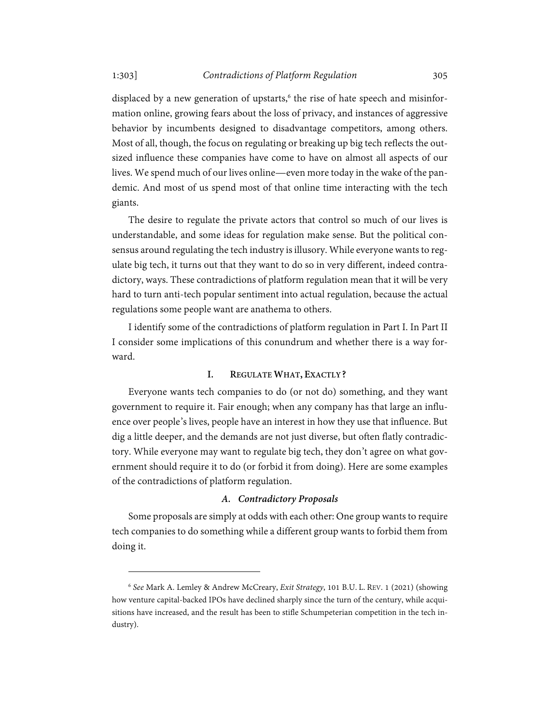displaced by a new generation of upstarts,<sup>6</sup> the rise of hate speech and misinformation online, growing fears about the loss of privacy, and instances of aggressive behavior by incumbents designed to disadvantage competitors, among others. Most of all, though, the focus on regulating or breaking up big tech reflects the outsized influence these companies have come to have on almost all aspects of our lives. We spend much of our lives online—even more today in the wake of the pandemic. And most of us spend most of that online time interacting with the tech giants.

The desire to regulate the private actors that control so much of our lives is understandable, and some ideas for regulation make sense. But the political consensus around regulating the tech industry is illusory. While everyone wants to regulate big tech, it turns out that they want to do so in very different, indeed contradictory, ways. These contradictions of platform regulation mean that it will be very hard to turn anti-tech popular sentiment into actual regulation, because the actual regulations some people want are anathema to others.

I identify some of the contradictions of platform regulation in Part I. In Part II I consider some implications of this conundrum and whether there is a way forward.

# **I. REGULATE WHAT, EXACTLY?**

Everyone wants tech companies to do (or not do) something, and they want government to require it. Fair enough; when any company has that large an influence over people's lives, people have an interest in how they use that influence. But dig a little deeper, and the demands are not just diverse, but often flatly contradictory. While everyone may want to regulate big tech, they don't agree on what government should require it to do (or forbid it from doing). Here are some examples of the contradictions of platform regulation.

#### *A. Contradictory Proposals*

Some proposals are simply at odds with each other: One group wants to require tech companies to do something while a different group wants to forbid them from doing it.

<sup>6</sup> *See* Mark A. Lemley & Andrew McCreary, *Exit Strategy*, 101 B.U. L. REV. 1 (2021) (showing how venture capital-backed IPOs have declined sharply since the turn of the century, while acquisitions have increased, and the result has been to stifle Schumpeterian competition in the tech industry).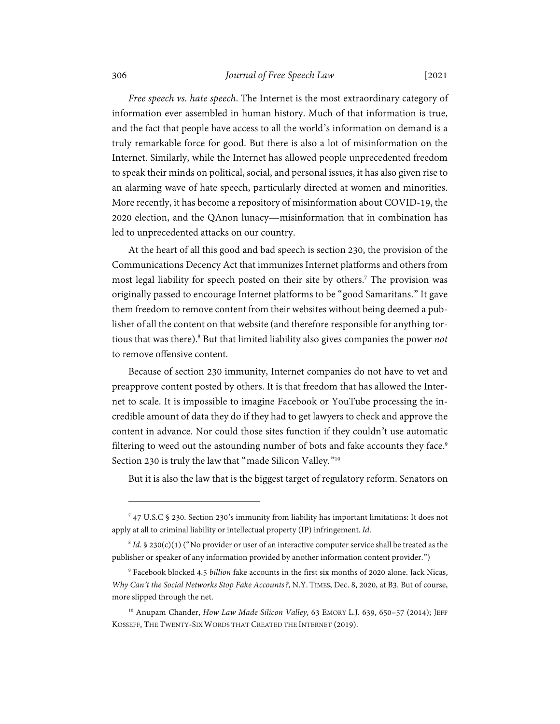#### 306 *Journal of Free Speech Law* [2021

*Free speech vs. hate speech*. The Internet is the most extraordinary category of information ever assembled in human history. Much of that information is true, and the fact that people have access to all the world's information on demand is a truly remarkable force for good. But there is also a lot of misinformation on the Internet. Similarly, while the Internet has allowed people unprecedented freedom to speak their minds on political, social, and personal issues, it has also given rise to an alarming wave of hate speech, particularly directed at women and minorities. More recently, it has become a repository of misinformation about COVID-19, the 2020 election, and the QAnon lunacy—misinformation that in combination has led to unprecedented attacks on our country.

At the heart of all this good and bad speech is section 230, the provision of the Communications Decency Act that immunizes Internet platforms and others from most legal liability for speech posted on their site by others.7 The provision was originally passed to encourage Internet platforms to be "good Samaritans." It gave them freedom to remove content from their websites without being deemed a publisher of all the content on that website (and therefore responsible for anything tortious that was there).<sup>8</sup> But that limited liability also gives companies the power not to remove offensive content.

Because of section 230 immunity, Internet companies do not have to vet and preapprove content posted by others. It is that freedom that has allowed the Internet to scale. It is impossible to imagine Facebook or YouTube processing the incredible amount of data they do if they had to get lawyers to check and approve the content in advance. Nor could those sites function if they couldn't use automatic filtering to weed out the astounding number of bots and fake accounts they face.<sup>9</sup> Section 230 is truly the law that "made Silicon Valley."<sup>10</sup>

But it is also the law that is the biggest target of regulatory reform. Senators on

<sup>7</sup> 47 U.S.C § 230. Section 230's immunity from liability has important limitations: It does not apply at all to criminal liability or intellectual property (IP) infringement. *Id*.

 $8$  *Id.* § 230(c)(1) ("No provider or user of an interactive computer service shall be treated as the publisher or speaker of any information provided by another information content provider.")

<sup>9</sup> Facebook blocked 4.5 *billion* fake accounts in the first six months of 2020 alone. Jack Nicas, *Why Can't the Social Networks Stop Fake Accounts?*, N.Y. TIMES, Dec. 8, 2020, at B3. But of course, more slipped through the net.

<sup>&</sup>lt;sup>10</sup> Anupam Chander, *How Law Made Silicon Valley*, 63 EMORY L.J. 639, 650-57 (2014); JEFF KOSSEFF, THE TWENTY-SIX WORDS THAT CREATED THE INTERNET (2019).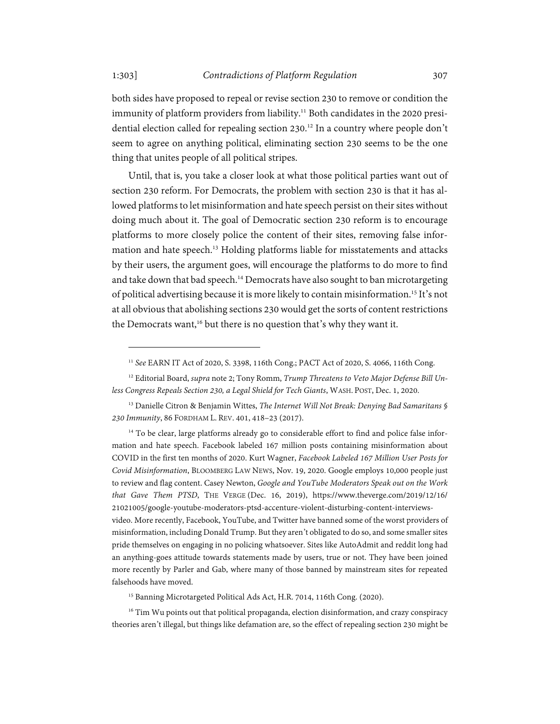both sides have proposed to repeal or revise section 230 to remove or condition the immunity of platform providers from liability.<sup>11</sup> Both candidates in the 2020 presidential election called for repealing section 230.<sup>12</sup> In a country where people don't seem to agree on anything political, eliminating section 230 seems to be the one thing that unites people of all political stripes.

Until, that is, you take a closer look at what those political parties want out of section 230 reform. For Democrats, the problem with section 230 is that it has allowed platforms to let misinformation and hate speech persist on their sites without doing much about it. The goal of Democratic section 230 reform is to encourage platforms to more closely police the content of their sites, removing false information and hate speech.<sup>13</sup> Holding platforms liable for misstatements and attacks by their users, the argument goes, will encourage the platforms to do more to find and take down that bad speech.<sup>14</sup> Democrats have also sought to ban microtargeting of political advertising because it is more likely to contain misinformation.<sup>15</sup> It's not at all obvious that abolishing sections 230 would get the sorts of content restrictions the Democrats want,<sup>16</sup> but there is no question that's why they want it.

<sup>16</sup> Tim Wu points out that political propaganda, election disinformation, and crazy conspiracy theories aren't illegal, but things like defamation are, so the effect of repealing section 230 might be

<sup>11</sup> *See* EARN IT Act of 2020, S. 3398, 116th Cong.; PACT Act of 2020, S. 4066, 116th Cong.

<sup>12</sup> Editorial Board, *supra* note 2; Tony Romm, *Trump Threatens to Veto Major Defense Bill Unless Congress Repeals Section 230, a Legal Shield for Tech Giants*, WASH. POST, Dec. 1, 2020.

<sup>13</sup> Danielle Citron & Benjamin Wittes, *The Internet Will Not Break: Denying Bad Samaritans § 230 Immunity*, 86 FORDHAM L. REV. 401, 418–23 (2017).

<sup>&</sup>lt;sup>14</sup> To be clear, large platforms already go to considerable effort to find and police false information and hate speech. Facebook labeled 167 million posts containing misinformation about COVID in the first ten months of 2020. Kurt Wagner, *Facebook Labeled 167 Million User Posts for Covid Misinformation*, BLOOMBERG LAW NEWS, Nov. 19, 2020. Google employs 10,000 people just to review and flag content. Casey Newton, *Google and YouTube Moderators Speak out on the Work that Gave Them PTSD*, THE VERGE (Dec. 16, 2019), https://www.theverge.com/2019/12/16/ 21021005/google-youtube-moderators-ptsd-accenture-violent-disturbing-content-interviews-

video. More recently, Facebook, YouTube, and Twitter have banned some of the worst providers of misinformation, including Donald Trump. But they aren't obligated to do so, and some smaller sites pride themselves on engaging in no policing whatsoever. Sites like AutoAdmit and reddit long had an anything-goes attitude towards statements made by users, true or not. They have been joined more recently by Parler and Gab, where many of those banned by mainstream sites for repeated falsehoods have moved.

<sup>&</sup>lt;sup>15</sup> Banning Microtargeted Political Ads Act, H.R. 7014, 116th Cong. (2020).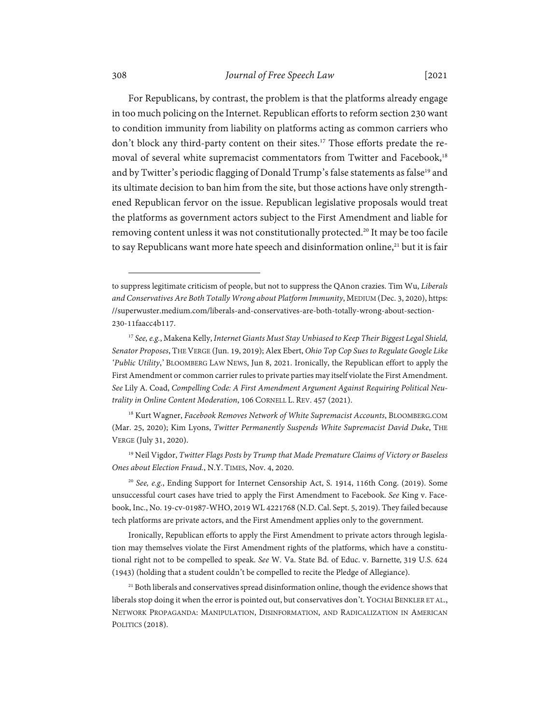# 308 *Journal of Free Speech Law* [2021

For Republicans, by contrast, the problem is that the platforms already engage in too much policing on the Internet. Republican efforts to reform section 230 want to condition immunity from liability on platforms acting as common carriers who don't block any third-party content on their sites.<sup>17</sup> Those efforts predate the removal of several white supremacist commentators from Twitter and Facebook,<sup>18</sup> and by Twitter's periodic flagging of Donald Trump's false statements as false<sup>19</sup> and its ultimate decision to ban him from the site, but those actions have only strengthened Republican fervor on the issue. Republican legislative proposals would treat the platforms as government actors subject to the First Amendment and liable for removing content unless it was not constitutionally protected.<sup>20</sup> It may be too facile to say Republicans want more hate speech and disinformation online,<sup>21</sup> but it is fair

18 Kurt Wagner, *Facebook Removes Network of White Supremacist Accounts*, BLOOMBERG.COM (Mar. 25, 2020); Kim Lyons, *Twitter Permanently Suspends White Supremacist David Duke*, THE VERGE (July 31, 2020).

19 Neil Vigdor, *Twitter Flags Posts by Trump that Made Premature Claims of Victory or Baseless Ones about Election Fraud.*, N.Y. TIMES, Nov. 4, 2020.

<sup>20</sup> *See, e.g.*, Ending Support for Internet Censorship Act, S. 1914, 116th Cong. (2019). Some unsuccessful court cases have tried to apply the First Amendment to Facebook. *See* King v. Facebook, Inc., No. 19-cv-01987-WHO, 2019 WL 4221768 (N.D. Cal. Sept. 5, 2019). They failed because tech platforms are private actors, and the First Amendment applies only to the government.

Ironically, Republican efforts to apply the First Amendment to private actors through legislation may themselves violate the First Amendment rights of the platforms, which have a constitutional right not to be compelled to speak. *See* W. Va. State Bd. of Educ. v. Barnette*,* 319 U.S. 624 (1943) (holding that a student couldn't be compelled to recite the Pledge of Allegiance).

 $21$  Both liberals and conservatives spread disinformation online, though the evidence shows that liberals stop doing it when the error is pointed out, but conservatives don't. YOCHAI BENKLER ET AL., NETWORK PROPAGANDA: MANIPULATION, DISINFORMATION, AND RADICALIZATION IN AMERICAN POLITICS (2018).

to suppress legitimate criticism of people, but not to suppress the QAnon crazies. Tim Wu, *Liberals and Conservatives Are Both Totally Wrong about Platform Immunity*, MEDIUM (Dec. 3, 2020), https: //superwuster.medium.com/liberals-and-conservatives-are-both-totally-wrong-about-section-230-11faacc4b117.

<sup>17</sup> *See, e.g.*, Makena Kelly, *Internet Giants Must Stay Unbiased to Keep Their Biggest Legal Shield, Senator Proposes*, THE VERGE (Jun. 19, 2019); Alex Ebert, *Ohio Top Cop Sues to Regulate Google Like 'Public Utility*,' BLOOMBERG LAW NEWS, Jun 8, 2021. Ironically, the Republican effort to apply the First Amendment or common carrier rules to private parties may itself violate the First Amendment. *See* Lily A. Coad, *Compelling Code: A First Amendment Argument Against Requiring Political Neutrality in Online Content Moderation*, 106 CORNELL L. REV. 457 (2021).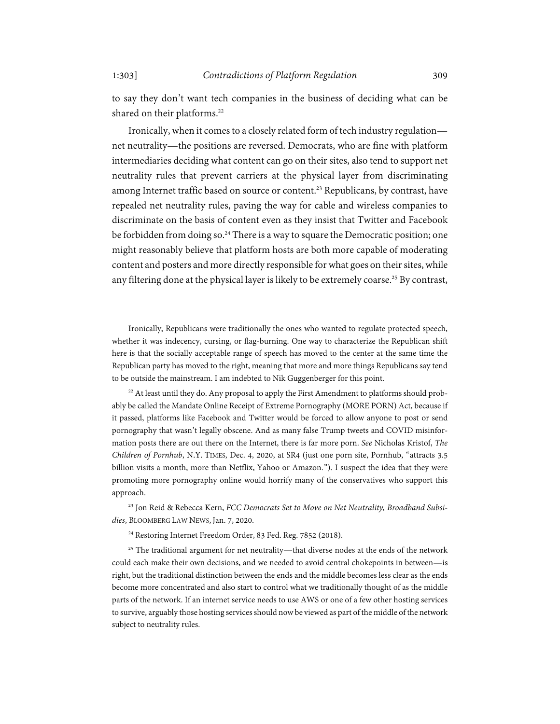to say they don't want tech companies in the business of deciding what can be shared on their platforms.<sup>22</sup>

Ironically, when it comes to a closely related form of tech industry regulation net neutrality—the positions are reversed. Democrats, who are fine with platform intermediaries deciding what content can go on their sites, also tend to support net neutrality rules that prevent carriers at the physical layer from discriminating among Internet traffic based on source or content.<sup>23</sup> Republicans, by contrast, have repealed net neutrality rules, paving the way for cable and wireless companies to discriminate on the basis of content even as they insist that Twitter and Facebook be forbidden from doing so.<sup>24</sup> There is a way to square the Democratic position; one might reasonably believe that platform hosts are both more capable of moderating content and posters and more directly responsible for what goes on their sites, while any filtering done at the physical layer is likely to be extremely coarse.<sup>25</sup> By contrast,

<sup>24</sup> Restoring Internet Freedom Order, 83 Fed. Reg. 7852 (2018).

<sup>25</sup> The traditional argument for net neutrality—that diverse nodes at the ends of the network could each make their own decisions, and we needed to avoid central chokepoints in between—is right, but the traditional distinction between the ends and the middle becomes less clear as the ends become more concentrated and also start to control what we traditionally thought of as the middle parts of the network. If an internet service needs to use AWS or one of a few other hosting services to survive, arguably those hosting services should now be viewed as part of the middle of the network subject to neutrality rules.

Ironically, Republicans were traditionally the ones who wanted to regulate protected speech, whether it was indecency, cursing, or flag-burning. One way to characterize the Republican shift here is that the socially acceptable range of speech has moved to the center at the same time the Republican party has moved to the right, meaning that more and more things Republicans say tend to be outside the mainstream. I am indebted to Nik Guggenberger for this point.

 $22$  At least until they do. Any proposal to apply the First Amendment to platforms should probably be called the Mandate Online Receipt of Extreme Pornography (MORE PORN) Act, because if it passed, platforms like Facebook and Twitter would be forced to allow anyone to post or send pornography that wasn't legally obscene. And as many false Trump tweets and COVID misinformation posts there are out there on the Internet, there is far more porn. *See* Nicholas Kristof, *The Children of Pornhub*, N.Y. TIMES, Dec. 4, 2020, at SR4 (just one porn site, Pornhub, "attracts 3.5 billion visits a month, more than Netflix, Yahoo or Amazon."). I suspect the idea that they were promoting more pornography online would horrify many of the conservatives who support this approach.

<sup>23</sup> Jon Reid & Rebecca Kern, *FCC Democrats Set to Move on Net Neutrality, Broadband Subsidies*, BLOOMBERG LAW NEWS, Jan. 7, 2020.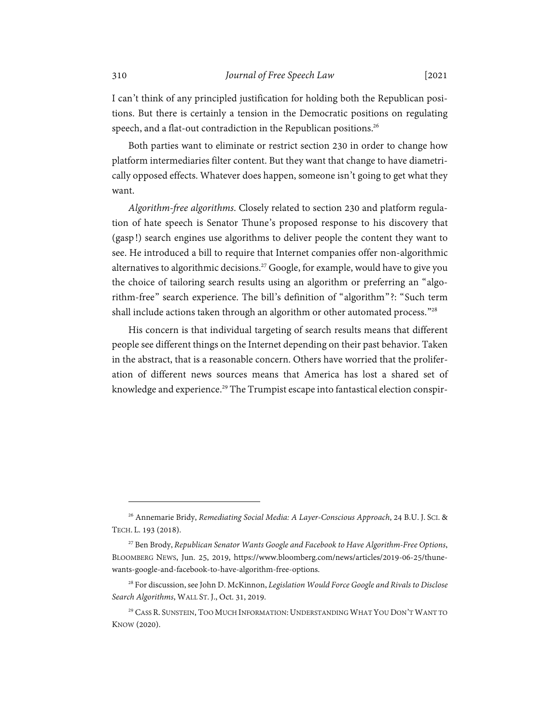I can't think of any principled justification for holding both the Republican positions. But there is certainly a tension in the Democratic positions on regulating speech, and a flat-out contradiction in the Republican positions.<sup>26</sup>

Both parties want to eliminate or restrict section 230 in order to change how platform intermediaries filter content. But they want that change to have diametrically opposed effects. Whatever does happen, someone isn't going to get what they want.

*Algorithm-free algorithms*. Closely related to section 230 and platform regulation of hate speech is Senator Thune's proposed response to his discovery that (gasp!) search engines use algorithms to deliver people the content they want to see. He introduced a bill to require that Internet companies offer non-algorithmic alternatives to algorithmic decisions.<sup>27</sup> Google, for example, would have to give you the choice of tailoring search results using an algorithm or preferring an "algorithm-free" search experience. The bill's definition of "algorithm"?: "Such term shall include actions taken through an algorithm or other automated process."28

His concern is that individual targeting of search results means that different people see different things on the Internet depending on their past behavior. Taken in the abstract, that is a reasonable concern. Others have worried that the proliferation of different news sources means that America has lost a shared set of knowledge and experience.<sup>29</sup> The Trumpist escape into fantastical election conspir-

<sup>26</sup> Annemarie Bridy, *Remediating Social Media: A Layer-Conscious Approach*, 24 B.U. J. SCI. & TECH. L. 193 (2018).

<sup>27</sup> Ben Brody, *Republican Senator Wants Google and Facebook to Have Algorithm-Free Options*, BLOOMBERG NEWS, Jun. 25, 2019, https://www.bloomberg.com/news/articles/2019-06-25/thunewants-google-and-facebook-to-have-algorithm-free-options.

<sup>28</sup> For discussion, see John D. McKinnon, *Legislation Would Force Google and Rivals to Disclose Search Algorithms*, WALL ST. J., Oct. 31, 2019.

<sup>&</sup>lt;sup>29</sup> CASS R. SUNSTEIN, TOO MUCH INFORMATION: UNDERSTANDING WHAT YOU DON'T WANT TO KNOW (2020).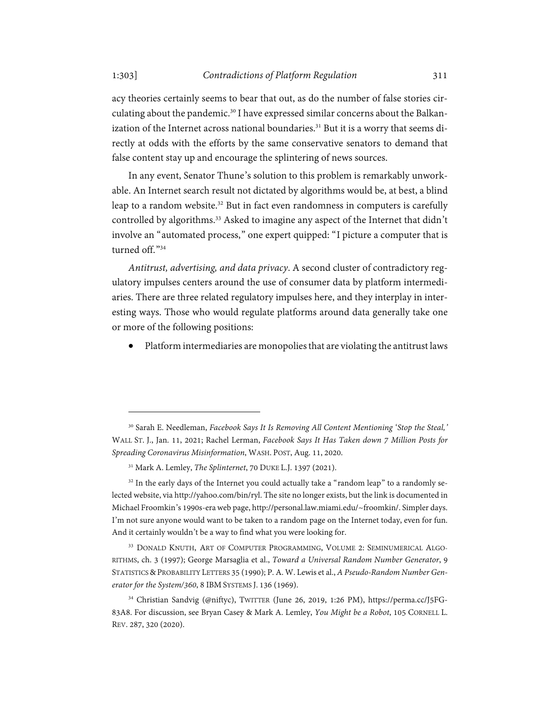acy theories certainly seems to bear that out, as do the number of false stories circulating about the pandemic.<sup>30</sup> I have expressed similar concerns about the Balkanization of the Internet across national boundaries.<sup>31</sup> But it is a worry that seems directly at odds with the efforts by the same conservative senators to demand that false content stay up and encourage the splintering of news sources.

In any event, Senator Thune's solution to this problem is remarkably unworkable. An Internet search result not dictated by algorithms would be, at best, a blind leap to a random website.<sup>32</sup> But in fact even randomness in computers is carefully controlled by algorithms.<sup>33</sup> Asked to imagine any aspect of the Internet that didn't involve an "automated process," one expert quipped: "I picture a computer that is turned off<sup>34</sup>

*Antitrust, advertising, and data privacy*. A second cluster of contradictory regulatory impulses centers around the use of consumer data by platform intermediaries. There are three related regulatory impulses here, and they interplay in interesting ways. Those who would regulate platforms around data generally take one or more of the following positions:

Platform intermediaries are monopolies that are violating the antitrust laws

<sup>30</sup> Sarah E. Needleman, *Facebook Says It Is Removing All Content Mentioning 'Stop the Steal,'* WALL ST. J., Jan. 11, 2021; Rachel Lerman, *Facebook Says It Has Taken down 7 Million Posts for Spreading Coronavirus Misinformation*, WASH. POST, Aug. 11, 2020.

<sup>31</sup> Mark A. Lemley, *The Splinternet*, 70 DUKE L.J. 1397 (2021).

 $32$  In the early days of the Internet you could actually take a "random leap" to a randomly selected website, via http://yahoo.com/bin/ryl. The site no longer exists, but the link is documented in Michael Froomkin's 1990s-era web page, http://personal.law.miami.edu/~froomkin/. Simpler days. I'm not sure anyone would want to be taken to a random page on the Internet today, even for fun. And it certainly wouldn't be a way to find what you were looking for.

<sup>33</sup> DONALD KNUTH, ART OF COMPUTER PROGRAMMING, VOLUME 2: SEMINUMERICAL ALGO-RITHMS, ch. 3 (1997); George Marsaglia et al., *Toward a Universal Random Number Generator*, 9 STATISTICS &PROBABILITY LETTERS 35 (1990); P. A. W. Lewis et al., *A Pseudo-Random Number Generator for the System/360*, 8 IBM SYSTEMS J. 136 (1969).

<sup>34</sup> Christian Sandvig (@niftyc), TWITTER (June 26, 2019, 1:26 PM), https://perma.cc/J5FG-83A8. For discussion, see Bryan Casey & Mark A. Lemley, *You Might be a Robot*, 105 CORNELL L. REV. 287, 320 (2020).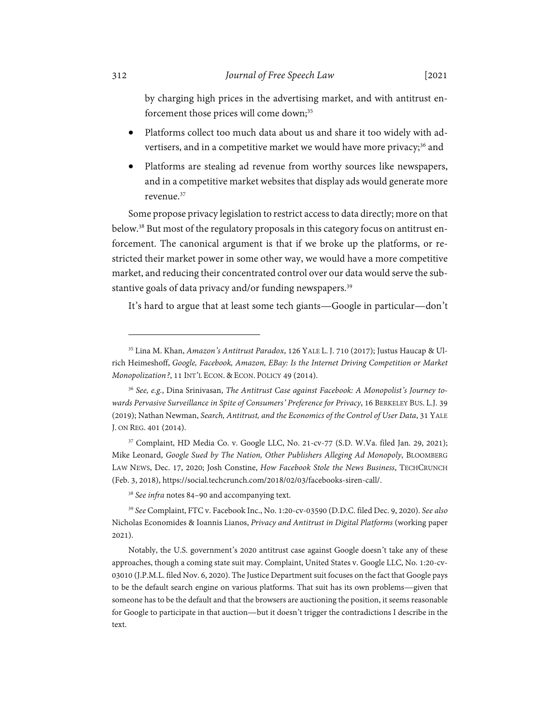by charging high prices in the advertising market, and with antitrust enforcement those prices will come down;<sup>35</sup>

- Platforms collect too much data about us and share it too widely with advertisers, and in a competitive market we would have more privacy;<sup>36</sup> and
- Platforms are stealing ad revenue from worthy sources like newspapers, and in a competitive market websites that display ads would generate more revenue.37

Some propose privacy legislation to restrict access to data directly; more on that below.38 But most of the regulatory proposals in this category focus on antitrust enforcement. The canonical argument is that if we broke up the platforms, or restricted their market power in some other way, we would have a more competitive market, and reducing their concentrated control over our data would serve the substantive goals of data privacy and/or funding newspapers.<sup>39</sup>

It's hard to argue that at least some tech giants—Google in particular—don't

<sup>35</sup> Lina M. Khan, *Amazon's Antitrust Paradox*, 126 YALE L. J. 710 (2017); Justus Haucap & Ulrich Heimeshoff, *Google, Facebook, Amazon, EBay: Is the Internet Driving Competition or Market Monopolization?*, 11 INT'L ECON. & ECON. POLICY 49 (2014).

<sup>36</sup> *See, e.g.*, Dina Srinivasan, *The Antitrust Case against Facebook: A Monopolist's Journey towards Pervasive Surveillance in Spite of Consumers' Preference for Privacy*, 16 BERKELEY BUS. L.J. 39 (2019); Nathan Newman, *Search, Antitrust, and the Economics of the Control of User Data*, 31 YALE J. ON REG. 401 (2014).

<sup>37</sup> Complaint, HD Media Co. v. Google LLC, No. 21-cv-77 (S.D. W.Va. filed Jan. 29, 2021); Mike Leonard, *Google Sued by The Nation, Other Publishers Alleging Ad Monopoly*, BLOOMBERG LAW NEWS, Dec. 17, 2020; Josh Constine, *How Facebook Stole the News Business*, TECHCRUNCH (Feb. 3, 2018), https://social.techcrunch.com/2018/02/03/facebooks-siren-call/.

<sup>38</sup> *See infra* notes 84–90 and accompanying text.

<sup>39</sup> *See* Complaint, FTC v. Facebook Inc., No. 1:20-cv-03590 (D.D.C. filed Dec. 9, 2020). *See also*  Nicholas Economides & Ioannis Lianos, *Privacy and Antitrust in Digital Platforms* (working paper 2021).

Notably, the U.S. government's 2020 antitrust case against Google doesn't take any of these approaches, though a coming state suit may. Complaint, United States v. Google LLC, No. 1:20-cv-03010 (J.P.M.L. filed Nov. 6, 2020). The Justice Department suit focuses on the fact that Google pays to be the default search engine on various platforms. That suit has its own problems—given that someone has to be the default and that the browsers are auctioning the position, it seems reasonable for Google to participate in that auction—but it doesn't trigger the contradictions I describe in the text.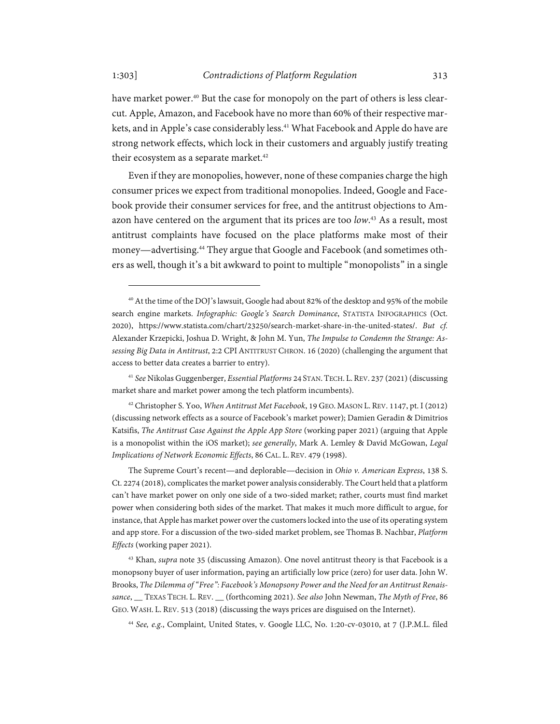have market power.<sup>40</sup> But the case for monopoly on the part of others is less clearcut. Apple, Amazon, and Facebook have no more than 60% of their respective markets, and in Apple's case considerably less.<sup>41</sup> What Facebook and Apple do have are strong network effects, which lock in their customers and arguably justify treating their ecosystem as a separate market.<sup>42</sup>

Even if they are monopolies, however, none of these companies charge the high consumer prices we expect from traditional monopolies. Indeed, Google and Facebook provide their consumer services for free, and the antitrust objections to Amazon have centered on the argument that its prices are too *low*. 43 As a result, most antitrust complaints have focused on the place platforms make most of their money—advertising.44 They argue that Google and Facebook (and sometimes others as well, though it's a bit awkward to point to multiple "monopolists" in a single

42 Christopher S. Yoo, *When Antitrust Met Facebook*, 19 GEO. MASON L. REV. 1147, pt. I (2012) (discussing network effects as a source of Facebook's market power); Damien Geradin & Dimitrios Katsifis, *The Antitrust Case Against the Apple App Store* (working paper 2021) (arguing that Apple is a monopolist within the iOS market); *see generally*, Mark A. Lemley & David McGowan, *Legal Implications of Network Economic Effects*, 86 CAL. L. REV. 479 (1998).

<sup>44</sup> *See, e.g.*, Complaint, United States, v. Google LLC, No. 1:20-cv-03010, at 7 (J.P.M.L. filed

<sup>40</sup> At the time of the DOJ's lawsuit, Google had about 82% of the desktop and 95% of the mobile search engine markets. *Infographic: Google's Search Dominance*, STATISTA INFOGRAPHICS (Oct. 2020), https://www.statista.com/chart/23250/search-market-share-in-the-united-states/. *But cf.* Alexander Krzepicki, Joshua D. Wright, & John M. Yun, *The Impulse to Condemn the Strange: Assessing Big Data in Antitrust*, 2:2 CPI ANTITRUST CHRON. 16 (2020) (challenging the argument that access to better data creates a barrier to entry).

<sup>41</sup> *See* Nikolas Guggenberger, *Essential Platforms* 24 STAN. TECH. L. REV. 237 (2021) (discussing market share and market power among the tech platform incumbents).

The Supreme Court's recent—and deplorable—decision in *Ohio v. American Express*, 138 S. Ct. 2274 (2018), complicates the market power analysis considerably. The Court held that a platform can't have market power on only one side of a two-sided market; rather, courts must find market power when considering both sides of the market. That makes it much more difficult to argue, for instance, that Apple has market power over the customers locked into the use of its operating system and app store. For a discussion of the two-sided market problem, see Thomas B. Nachbar, *Platform Effects* (working paper 2021).

<sup>43</sup> Khan, *supra* note 35 (discussing Amazon). One novel antitrust theory is that Facebook is a monopsony buyer of user information, paying an artificially low price (zero) for user data. John W. Brooks, *The Dilemma of "Free": Facebook's Monopsony Power and the Need for an Antitrust Renaissance*, \_\_ TEXAS TECH. L. REV. \_\_ (forthcoming 2021). *See also* John Newman, *The Myth of Free*, 86 GEO. WASH. L. REV. 513 (2018) (discussing the ways prices are disguised on the Internet).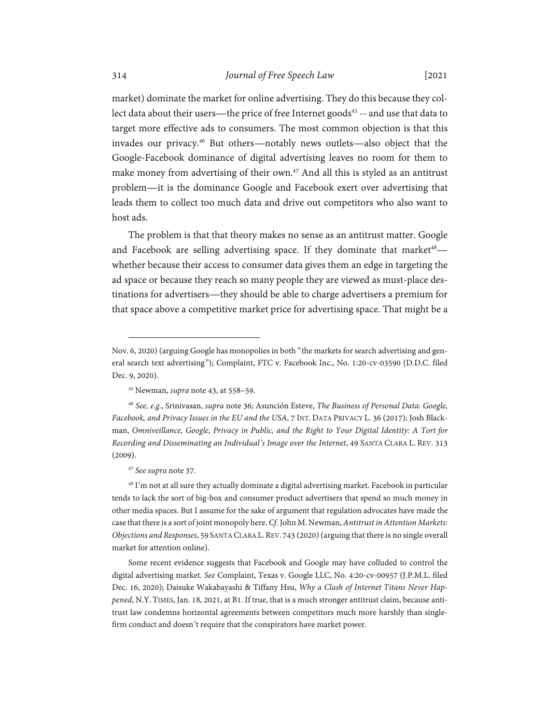market) dominate the market for online advertising. They do this because they collect data about their users—the price of free Internet goods<sup>45</sup> -- and use that data to target more effective ads to consumers. The most common objection is that this invades our privacy.46 But others—notably news outlets—also object that the Google-Facebook dominance of digital advertising leaves no room for them to make money from advertising of their own.<sup>47</sup> And all this is styled as an antitrust problem—it is the dominance Google and Facebook exert over advertising that leads them to collect too much data and drive out competitors who also want to host ads.

The problem is that that theory makes no sense as an antitrust matter. Google and Facebook are selling advertising space. If they dominate that market<sup>48</sup> $$ whether because their access to consumer data gives them an edge in targeting the ad space or because they reach so many people they are viewed as must-place destinations for advertisers—they should be able to charge advertisers a premium for that space above a competitive market price for advertising space. That might be a

<sup>46</sup> *See, e.g.*, Srinivasan, *supra* note 36; Asunción Esteve, *The Business of Personal Data: Google, Facebook, and Privacy Issues in the EU and the USA*, 7 INT.DATA PRIVACY L. 36 (2017); Josh Blackman, *Omniveillance, Google, Privacy in Public, and the Right to Your Digital Identity: A Tort for Recording and Disseminating an Individual's Image over the Internet*, 49 SANTA CLARA L. REV. 313 (2009).

#### <sup>47</sup> *See supra* note 37.

<sup>48</sup> I'm not at all sure they actually dominate a digital advertising market. Facebook in particular tends to lack the sort of big-box and consumer product advertisers that spend so much money in other media spaces. But I assume for the sake of argument that regulation advocates have made the case that there is a sort of joint monopoly here. *Cf.* John M. Newman, *Antitrust in Attention Markets: Objections and Responses*, 59 SANTA CLARA L.REV. 743 (2020) (arguing that there is no single overall market for attention online).

Some recent evidence suggests that Facebook and Google may have colluded to control the digital advertising market. *See* Complaint, Texas v. Google LLC, No. 4:20-cv-00957 (J.P.M.L. filed Dec. 16, 2020); Daisuke Wakabayashi & Tiffany Hsu, *Why a Clash of Internet Titans Never Happened*, N.Y. TIMES, Jan. 18, 2021, at B1. If true, that is a much stronger antitrust claim, because antitrust law condemns horizontal agreements between competitors much more harshly than singlefirm conduct and doesn't require that the conspirators have market power.

Nov. 6, 2020) (arguing Google has monopolies in both "the markets for search advertising and general search text advertising"); Complaint, FTC v. Facebook Inc., No. 1:20-cv-03590 (D.D.C. filed Dec. 9, 2020).

<sup>45</sup> Newman, *supra* note 43, at 558–59.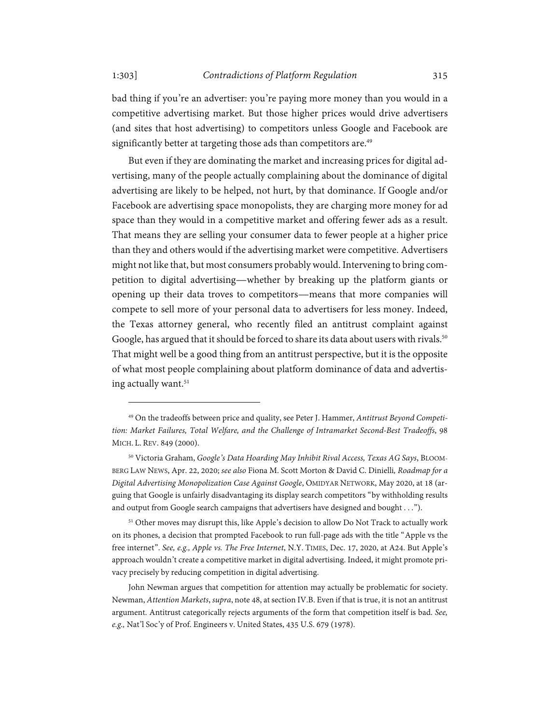bad thing if you're an advertiser: you're paying more money than you would in a competitive advertising market. But those higher prices would drive advertisers (and sites that host advertising) to competitors unless Google and Facebook are significantly better at targeting those ads than competitors are.<sup>49</sup>

But even if they are dominating the market and increasing prices for digital advertising, many of the people actually complaining about the dominance of digital advertising are likely to be helped, not hurt, by that dominance. If Google and/or Facebook are advertising space monopolists, they are charging more money for ad space than they would in a competitive market and offering fewer ads as a result. That means they are selling your consumer data to fewer people at a higher price than they and others would if the advertising market were competitive. Advertisers might not like that, but most consumers probably would. Intervening to bring competition to digital advertising—whether by breaking up the platform giants or opening up their data troves to competitors—means that more companies will compete to sell more of your personal data to advertisers for less money. Indeed, the Texas attorney general, who recently filed an antitrust complaint against Google, has argued that it should be forced to share its data about users with rivals.<sup>50</sup> That might well be a good thing from an antitrust perspective, but it is the opposite of what most people complaining about platform dominance of data and advertising actually want.<sup>51</sup>

<sup>49</sup> On the tradeoffs between price and quality, see Peter J. Hammer, *Antitrust Beyond Competition: Market Failures, Total Welfare, and the Challenge of Intramarket Second-Best Tradeoffs*, 98 MICH. L. REV. 849 (2000).

<sup>50</sup> Victoria Graham, *Google's Data Hoarding May Inhibit Rival Access, Texas AG Says*, BLOOM-BERG LAW NEWS, Apr. 22, 2020; *see also* Fiona M. Scott Morton & David C. Dinielli*, Roadmap for a Digital Advertising Monopolization Case Against Google*, OMIDYAR NETWORK, May 2020, at 18 (arguing that Google is unfairly disadvantaging its display search competitors "by withholding results and output from Google search campaigns that advertisers have designed and bought . . .").

<sup>&</sup>lt;sup>51</sup> Other moves may disrupt this, like Apple's decision to allow Do Not Track to actually work on its phones, a decision that prompted Facebook to run full-page ads with the title "Apple vs the free internet". *See, e.g., Apple vs. The Free Internet*, N.Y. TIMES, Dec. 17, 2020, at A24. But Apple's approach wouldn't create a competitive market in digital advertising. Indeed, it might promote privacy precisely by reducing competition in digital advertising.

John Newman argues that competition for attention may actually be problematic for society. Newman, *Attention Markets*, *supra*, note 48, at section IV.B. Even if that is true, it is not an antitrust argument. Antitrust categorically rejects arguments of the form that competition itself is bad. *See, e.g.,* Nat'l Soc'y of Prof. Engineers v. United States, 435 U.S. 679 (1978).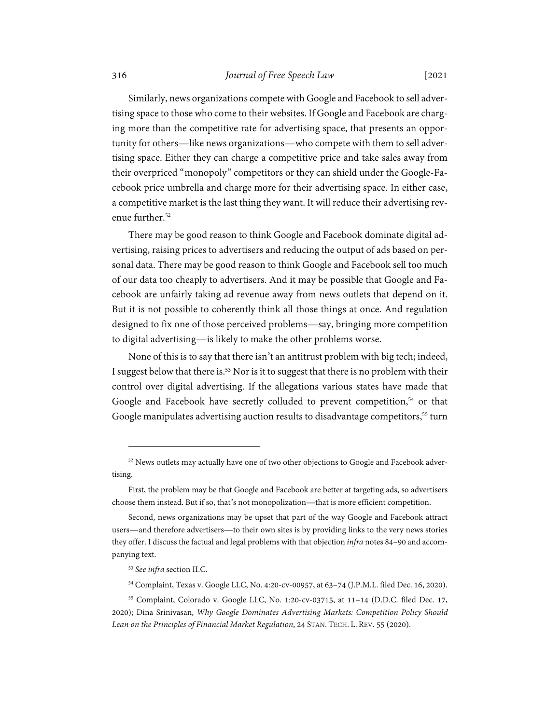#### 316 *Journal of Free Speech Law* [2021

Similarly, news organizations compete with Google and Facebook to sell advertising space to those who come to their websites. If Google and Facebook are charging more than the competitive rate for advertising space, that presents an opportunity for others—like news organizations—who compete with them to sell advertising space. Either they can charge a competitive price and take sales away from their overpriced "monopoly" competitors or they can shield under the Google-Facebook price umbrella and charge more for their advertising space. In either case, a competitive market is the last thing they want. It will reduce their advertising revenue further.<sup>52</sup>

There may be good reason to think Google and Facebook dominate digital advertising, raising prices to advertisers and reducing the output of ads based on personal data. There may be good reason to think Google and Facebook sell too much of our data too cheaply to advertisers. And it may be possible that Google and Facebook are unfairly taking ad revenue away from news outlets that depend on it. But it is not possible to coherently think all those things at once. And regulation designed to fix one of those perceived problems—say, bringing more competition to digital advertising—is likely to make the other problems worse.

None of this is to say that there isn't an antitrust problem with big tech; indeed, I suggest below that there is.<sup>53</sup> Nor is it to suggest that there is no problem with their control over digital advertising. If the allegations various states have made that Google and Facebook have secretly colluded to prevent competition,<sup>54</sup> or that Google manipulates advertising auction results to disadvantage competitors,<sup>55</sup> turn

<sup>&</sup>lt;sup>52</sup> News outlets may actually have one of two other objections to Google and Facebook advertising.

First, the problem may be that Google and Facebook are better at targeting ads, so advertisers choose them instead. But if so, that's not monopolization—that is more efficient competition.

Second, news organizations may be upset that part of the way Google and Facebook attract users—and therefore advertisers—to their own sites is by providing links to the very news stories they offer. I discuss the factual and legal problems with that objection *infra* notes 84–90 and accompanying text.

<sup>53</sup> *See infra* section II.C.

<sup>54</sup> Complaint, Texas v. Google LLC, No. 4:20-cv-00957, at 63–74 (J.P.M.L. filed Dec. 16, 2020).

<sup>55</sup> Complaint, Colorado v. Google LLC, No. 1:20-cv-03715, at 11–14 (D.D.C. filed Dec. 17, 2020); Dina Srinivasan, *Why Google Dominates Advertising Markets: Competition Policy Should Lean on the Principles of Financial Market Regulation*, 24 STAN. TECH. L. REV. 55 (2020).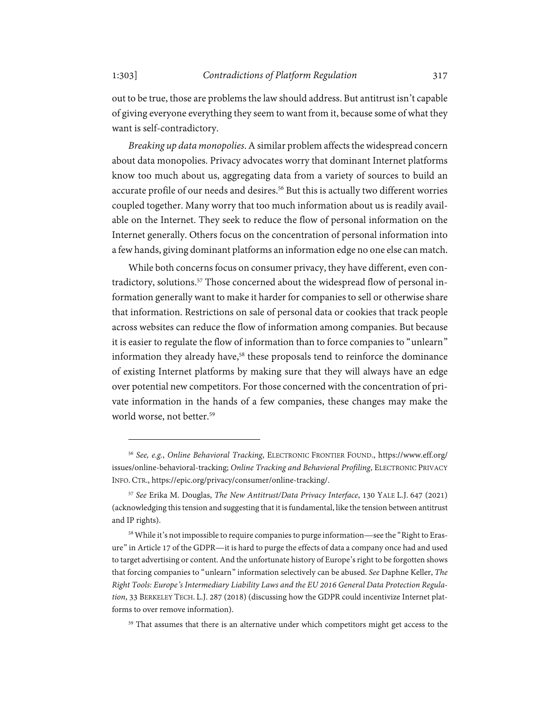out to be true, those are problems the law should address. But antitrust isn't capable of giving everyone everything they seem to want from it, because some of what they want is self-contradictory.

*Breaking up data monopolies*. A similar problem affects the widespread concern about data monopolies. Privacy advocates worry that dominant Internet platforms know too much about us, aggregating data from a variety of sources to build an accurate profile of our needs and desires.<sup>56</sup> But this is actually two different worries coupled together. Many worry that too much information about us is readily available on the Internet. They seek to reduce the flow of personal information on the Internet generally. Others focus on the concentration of personal information into a few hands, giving dominant platforms an information edge no one else can match.

While both concerns focus on consumer privacy, they have different, even contradictory, solutions.<sup>57</sup> Those concerned about the widespread flow of personal information generally want to make it harder for companies to sell or otherwise share that information. Restrictions on sale of personal data or cookies that track people across websites can reduce the flow of information among companies. But because it is easier to regulate the flow of information than to force companies to "unlearn" information they already have,<sup>58</sup> these proposals tend to reinforce the dominance of existing Internet platforms by making sure that they will always have an edge over potential new competitors. For those concerned with the concentration of private information in the hands of a few companies, these changes may make the world worse, not better.<sup>59</sup>

<sup>56</sup> *See, e.g.*, *Online Behavioral Tracking*, ELECTRONIC FRONTIER FOUND., https://www.eff.org/ issues/online-behavioral-tracking; *Online Tracking and Behavioral Profiling*, ELECTRONIC PRIVACY INFO. CTR., https://epic.org/privacy/consumer/online-tracking/.

<sup>57</sup> *See* Erika M. Douglas, *The New Antitrust/Data Privacy Interface*, 130 YALE L.J. 647 (2021) (acknowledging this tension and suggesting that it is fundamental, like the tension between antitrust and IP rights).

<sup>&</sup>lt;sup>58</sup> While it's not impossible to require companies to purge information—see the "Right to Erasure" in Article 17 of the GDPR—it is hard to purge the effects of data a company once had and used to target advertising or content. And the unfortunate history of Europe's right to be forgotten shows that forcing companies to "unlearn" information selectively can be abused. *See* Daphne Keller, *The Right Tools: Europe's Intermediary Liability Laws and the EU 2016 General Data Protection Regulation*, 33 BERKELEY TECH. L.J. 287 (2018) (discussing how the GDPR could incentivize Internet platforms to over remove information).

<sup>59</sup> That assumes that there is an alternative under which competitors might get access to the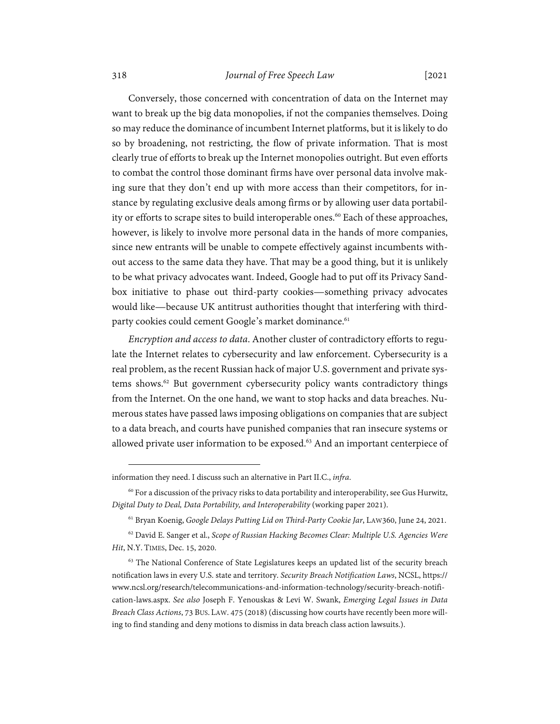# 318 *Journal of Free Speech Law* [2021

Conversely, those concerned with concentration of data on the Internet may want to break up the big data monopolies, if not the companies themselves. Doing so may reduce the dominance of incumbent Internet platforms, but it is likely to do so by broadening, not restricting, the flow of private information. That is most clearly true of efforts to break up the Internet monopolies outright. But even efforts to combat the control those dominant firms have over personal data involve making sure that they don't end up with more access than their competitors, for instance by regulating exclusive deals among firms or by allowing user data portability or efforts to scrape sites to build interoperable ones.<sup>60</sup> Each of these approaches, however, is likely to involve more personal data in the hands of more companies, since new entrants will be unable to compete effectively against incumbents without access to the same data they have. That may be a good thing, but it is unlikely to be what privacy advocates want. Indeed, Google had to put off its Privacy Sandbox initiative to phase out third-party cookies—something privacy advocates would like—because UK antitrust authorities thought that interfering with thirdparty cookies could cement Google's market dominance.<sup>61</sup>

*Encryption and access to data*. Another cluster of contradictory efforts to regulate the Internet relates to cybersecurity and law enforcement. Cybersecurity is a real problem, as the recent Russian hack of major U.S. government and private systems shows.<sup>62</sup> But government cybersecurity policy wants contradictory things from the Internet. On the one hand, we want to stop hacks and data breaches. Numerous states have passed laws imposing obligations on companies that are subject to a data breach, and courts have punished companies that ran insecure systems or allowed private user information to be exposed.<sup>63</sup> And an important centerpiece of

information they need. I discuss such an alternative in Part II.C., *infra*.

 $60$  For a discussion of the privacy risks to data portability and interoperability, see Gus Hurwitz, *Digital Duty to Deal, Data Portability, and Interoperability* (working paper 2021).

<sup>61</sup> Bryan Koenig, *Google Delays Putting Lid on Third-Party Cookie Jar*, LAW360, June 24, 2021.

<sup>62</sup> David E. Sanger et al., *Scope of Russian Hacking Becomes Clear: Multiple U.S. Agencies Were Hit*, N.Y. TIMES, Dec. 15, 2020.

<sup>&</sup>lt;sup>63</sup> The National Conference of State Legislatures keeps an updated list of the security breach notification laws in every U.S. state and territory. *Security Breach Notification Laws*, NCSL, https:// www.ncsl.org/research/telecommunications-and-information-technology/security-breach-notification-laws.aspx. *See also* Joseph F. Yenouskas & Levi W. Swank, *Emerging Legal Issues in Data Breach Class Actions*, 73 BUS. LAW. 475 (2018) (discussing how courts have recently been more willing to find standing and deny motions to dismiss in data breach class action lawsuits.).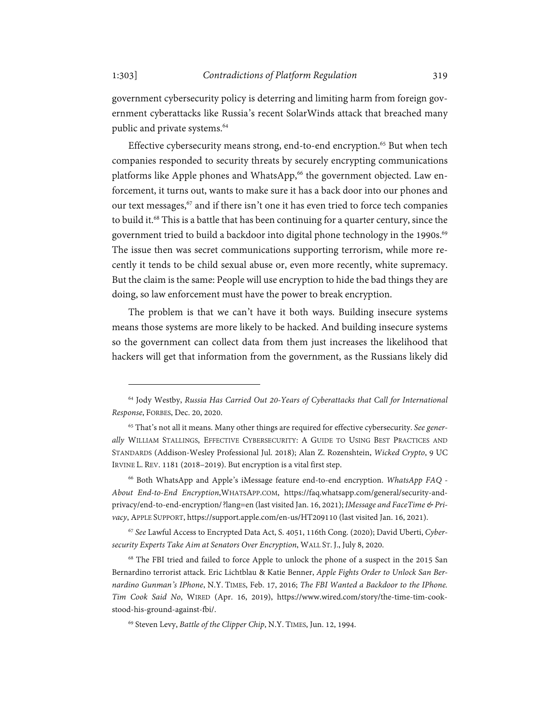government cybersecurity policy is deterring and limiting harm from foreign government cyberattacks like Russia's recent SolarWinds attack that breached many public and private systems.<sup>64</sup>

Effective cybersecurity means strong, end-to-end encryption.<sup>65</sup> But when tech companies responded to security threats by securely encrypting communications platforms like Apple phones and WhatsApp,<sup>66</sup> the government objected. Law enforcement, it turns out, wants to make sure it has a back door into our phones and our text messages,<sup>67</sup> and if there isn't one it has even tried to force tech companies to build it.<sup>68</sup> This is a battle that has been continuing for a quarter century, since the government tried to build a backdoor into digital phone technology in the 1990s.<sup>69</sup> The issue then was secret communications supporting terrorism, while more recently it tends to be child sexual abuse or, even more recently, white supremacy. But the claim is the same: People will use encryption to hide the bad things they are doing, so law enforcement must have the power to break encryption.

The problem is that we can't have it both ways. Building insecure systems means those systems are more likely to be hacked. And building insecure systems so the government can collect data from them just increases the likelihood that hackers will get that information from the government, as the Russians likely did

<sup>67</sup> *See* Lawful Access to Encrypted Data Act, S. 4051, 116th Cong. (2020); David Uberti, *Cybersecurity Experts Take Aim at Senators Over Encryption*, WALL ST. J., July 8, 2020.

68 The FBI tried and failed to force Apple to unlock the phone of a suspect in the 2015 San Bernardino terrorist attack. Eric Lichtblau & Katie Benner, *Apple Fights Order to Unlock San Bernardino Gunman's IPhone*, N.Y. TIMES, Feb. 17, 2016; *The FBI Wanted a Backdoor to the IPhone. Tim Cook Said No*, WIRED (Apr. 16, 2019), https://www.wired.com/story/the-time-tim-cookstood-his-ground-against-fbi/.

<sup>64</sup> Jody Westby, *Russia Has Carried Out 20-Years of Cyberattacks that Call for International Response*, FORBES, Dec. 20, 2020.

<sup>65</sup> That's not all it means. Many other things are required for effective cybersecurity. *See generally* WILLIAM STALLINGS, EFFECTIVE CYBERSECURITY: A GUIDE TO USING BEST PRACTICES AND STANDARDS (Addison-Wesley Professional Jul. 2018); Alan Z. Rozenshtein, *Wicked Crypto*, 9 UC IRVINE L. REV. 1181 (2018–2019). But encryption is a vital first step.

<sup>66</sup> Both WhatsApp and Apple's iMessage feature end-to-end encryption. *WhatsApp FAQ - About End-to-End Encryption*,WHATSAPP.COM, https://faq.whatsapp.com/general/security-andprivacy/end-to-end-encryption/?lang=en (last visited Jan. 16, 2021); *IMessage and FaceTime & Privacy*, APPLE SUPPORT, https://support.apple.com/en-us/HT209110 (last visited Jan. 16, 2021).

<sup>69</sup> Steven Levy, *Battle of the Clipper Chip*, N.Y. TIMES, Jun. 12, 1994.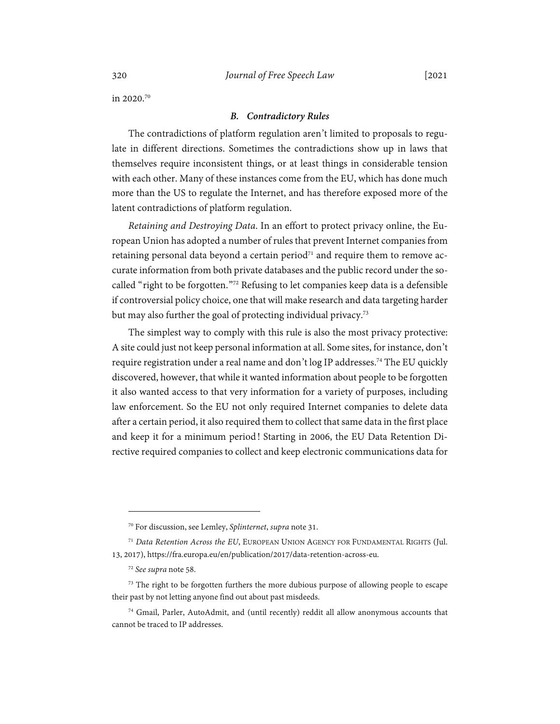in 2020.70

#### *B. Contradictory Rules*

The contradictions of platform regulation aren't limited to proposals to regulate in different directions. Sometimes the contradictions show up in laws that themselves require inconsistent things, or at least things in considerable tension with each other. Many of these instances come from the EU, which has done much more than the US to regulate the Internet, and has therefore exposed more of the latent contradictions of platform regulation.

*Retaining and Destroying Data*. In an effort to protect privacy online, the European Union has adopted a number of rules that prevent Internet companies from retaining personal data beyond a certain period<sup> $71$ </sup> and require them to remove accurate information from both private databases and the public record under the socalled "right to be forgotten."72 Refusing to let companies keep data is a defensible if controversial policy choice, one that will make research and data targeting harder but may also further the goal of protecting individual privacy.<sup>73</sup>

The simplest way to comply with this rule is also the most privacy protective: A site could just not keep personal information at all. Some sites, for instance, don't require registration under a real name and don't log IP addresses.<sup>74</sup> The EU quickly discovered, however, that while it wanted information about people to be forgotten it also wanted access to that very information for a variety of purposes, including law enforcement. So the EU not only required Internet companies to delete data after a certain period, it also required them to collect that same data in the first place and keep it for a minimum period! Starting in 2006, the EU Data Retention Directive required companies to collect and keep electronic communications data for

<sup>70</sup> For discussion, see Lemley, *Splinternet*, *supra* note 31.

<sup>71</sup> *Data Retention Across the EU*, EUROPEAN UNION AGENCY FOR FUNDAMENTAL RIGHTS (Jul. 13, 2017), https://fra.europa.eu/en/publication/2017/data-retention-across-eu.

<sup>72</sup> *See supra* note 58.

<sup>&</sup>lt;sup>73</sup> The right to be forgotten furthers the more dubious purpose of allowing people to escape their past by not letting anyone find out about past misdeeds.

<sup>74</sup> Gmail, Parler, AutoAdmit, and (until recently) reddit all allow anonymous accounts that cannot be traced to IP addresses.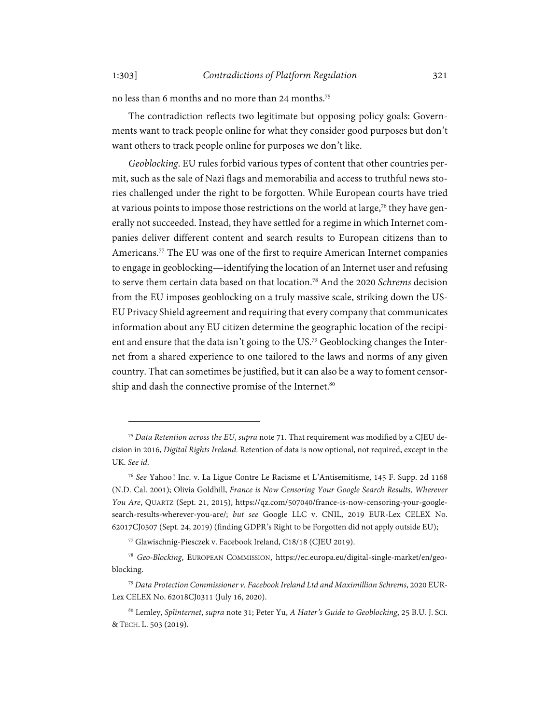no less than 6 months and no more than 24 months.75

The contradiction reflects two legitimate but opposing policy goals: Governments want to track people online for what they consider good purposes but don't want others to track people online for purposes we don't like.

*Geoblocking*. EU rules forbid various types of content that other countries permit, such as the sale of Nazi flags and memorabilia and access to truthful news stories challenged under the right to be forgotten. While European courts have tried at various points to impose those restrictions on the world at large,<sup>76</sup> they have generally not succeeded. Instead, they have settled for a regime in which Internet companies deliver different content and search results to European citizens than to Americans.77 The EU was one of the first to require American Internet companies to engage in geoblocking—identifying the location of an Internet user and refusing to serve them certain data based on that location.78 And the 2020 *Schrems* decision from the EU imposes geoblocking on a truly massive scale, striking down the US-EU Privacy Shield agreement and requiring that every company that communicates information about any EU citizen determine the geographic location of the recipient and ensure that the data isn't going to the US.79 Geoblocking changes the Internet from a shared experience to one tailored to the laws and norms of any given country. That can sometimes be justified, but it can also be a way to foment censorship and dash the connective promise of the Internet.<sup>80</sup>

<sup>75</sup> *Data Retention across the EU*, *supra* note 71. That requirement was modified by a CJEU decision in 2016, *Digital Rights Ireland*. Retention of data is now optional, not required, except in the UK. *See id*.

<sup>76</sup> *See* Yahoo! Inc. v. La Ligue Contre Le Racisme et L'Antisemitisme, 145 F. Supp. 2d 1168 (N.D. Cal. 2001); Olivia Goldhill, *France is Now Censoring Your Google Search Results, Wherever You Are*, QUARTZ (Sept. 21, 2015), https://qz.com/507040/france-is-now-censoring-your-googlesearch-results-wherever-you-are/; *but see* Google LLC v. CNIL, 2019 EUR-Lex CELEX No. 62017CJ0507 (Sept. 24, 2019) (finding GDPR's Right to be Forgotten did not apply outside EU);

<sup>77</sup> Glawischnig-Piesczek v. Facebook Ireland, C18/18 (CJEU 2019).

<sup>78</sup> *Geo-Blocking*, EUROPEAN COMMISSION, https://ec.europa.eu/digital-single-market/en/geoblocking.

<sup>79</sup> *Data Protection Commissioner v. Facebook Ireland Ltd and Maximillian Schrems*, 2020 EUR-Lex CELEX No. 62018CJ0311 (July 16, 2020).

<sup>80</sup> Lemley, *Splinternet*, *supra* note 31; Peter Yu, *A Hater's Guide to Geoblocking*, 25 B.U. J. SCI. &TECH. L. 503 (2019).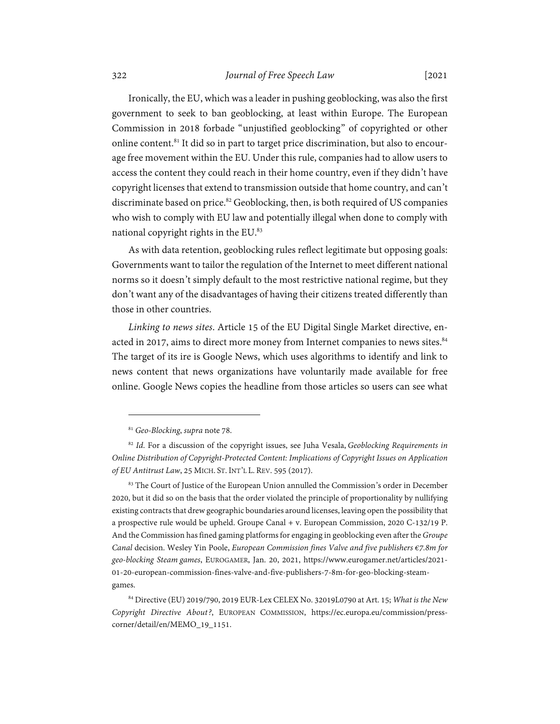Ironically, the EU, which was a leader in pushing geoblocking, was also the first government to seek to ban geoblocking, at least within Europe. The European Commission in 2018 forbade "unjustified geoblocking" of copyrighted or other online content.<sup>81</sup> It did so in part to target price discrimination, but also to encourage free movement within the EU. Under this rule, companies had to allow users to access the content they could reach in their home country, even if they didn't have copyright licenses that extend to transmission outside that home country, and can't discriminate based on price.<sup>82</sup> Geoblocking, then, is both required of US companies who wish to comply with EU law and potentially illegal when done to comply with national copyright rights in the EU.<sup>83</sup>

As with data retention, geoblocking rules reflect legitimate but opposing goals: Governments want to tailor the regulation of the Internet to meet different national norms so it doesn't simply default to the most restrictive national regime, but they don't want any of the disadvantages of having their citizens treated differently than those in other countries.

*Linking to news sites*. Article 15 of the EU Digital Single Market directive, enacted in 2017, aims to direct more money from Internet companies to news sites.<sup>84</sup> The target of its ire is Google News, which uses algorithms to identify and link to news content that news organizations have voluntarily made available for free online. Google News copies the headline from those articles so users can see what

<sup>81</sup> *Geo-Blocking*, *supra* note 78.

<sup>82</sup> *Id*. For a discussion of the copyright issues, see Juha Vesala, *Geoblocking Requirements in Online Distribution of Copyright-Protected Content: Implications of Copyright Issues on Application of EU Antitrust Law*, 25 MICH. ST. INT'L L. REV. 595 (2017).

<sup>&</sup>lt;sup>83</sup> The Court of Justice of the European Union annulled the Commission's order in December 2020, but it did so on the basis that the order violated the principle of proportionality by nullifying existing contracts that drew geographic boundaries around licenses, leaving open the possibility that a prospective rule would be upheld. Groupe Canal + v. European Commission, 2020 C-132/19 P. And the Commission has fined gaming platforms for engaging in geoblocking even after the *Groupe Canal* decision. Wesley Yin Poole, *European Commission fines Valve and five publishers €7.8m for geo-blocking Steam games*, EUROGAMER, Jan. 20, 2021, https://www.eurogamer.net/articles/2021- 01-20-european-commission-fines-valve-and-five-publishers-7-8m-for-geo-blocking-steamgames.

<sup>84</sup> Directive (EU) 2019/790, 2019 EUR-Lex CELEX No. 32019L0790 at Art. 15; *What is the New Copyright Directive About?*, EUROPEAN COMMISSION, https://ec.europa.eu/commission/presscorner/detail/en/MEMO\_19\_1151.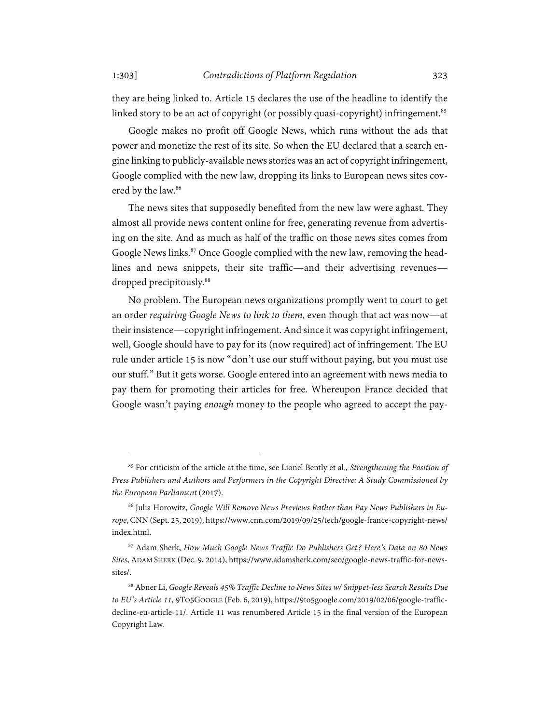they are being linked to. Article 15 declares the use of the headline to identify the linked story to be an act of copyright (or possibly quasi-copyright) infringement.<sup>85</sup>

Google makes no profit off Google News, which runs without the ads that power and monetize the rest of its site. So when the EU declared that a search engine linking to publicly-available news stories was an act of copyright infringement, Google complied with the new law, dropping its links to European news sites covered by the law.<sup>86</sup>

The news sites that supposedly benefited from the new law were aghast. They almost all provide news content online for free, generating revenue from advertising on the site. And as much as half of the traffic on those news sites comes from Google News links.<sup>87</sup> Once Google complied with the new law, removing the headlines and news snippets, their site traffic—and their advertising revenues dropped precipitously.<sup>88</sup>

No problem. The European news organizations promptly went to court to get an order *requiring Google News to link to them*, even though that act was now—at their insistence—copyright infringement. And since it was copyright infringement, well, Google should have to pay for its (now required) act of infringement. The EU rule under article 15 is now "don't use our stuff without paying, but you must use our stuff." But it gets worse. Google entered into an agreement with news media to pay them for promoting their articles for free. Whereupon France decided that Google wasn't paying *enough* money to the people who agreed to accept the pay-

<sup>85</sup> For criticism of the article at the time, see Lionel Bently et al., *Strengthening the Position of Press Publishers and Authors and Performers in the Copyright Directive: A Study Commissioned by the European Parliament* (2017).

<sup>86</sup> Julia Horowitz, *Google Will Remove News Previews Rather than Pay News Publishers in Europe*, CNN (Sept. 25, 2019), https://www.cnn.com/2019/09/25/tech/google-france-copyright-news/ index.html.

<sup>87</sup> Adam Sherk, *How Much Google News Traffic Do Publishers Get? Here's Data on 80 News Sites*, ADAM SHERK (Dec. 9, 2014), https://www.adamsherk.com/seo/google-news-traffic-for-newssites/.

<sup>88</sup> Abner Li, *Google Reveals 45% Traffic Decline to News Sites w/ Snippet-less Search Results Due to EU's Article 11*, 9TO5GOOGLE (Feb. 6, 2019), https://9to5google.com/2019/02/06/google-trafficdecline-eu-article-11/. Article 11 was renumbered Article 15 in the final version of the European Copyright Law.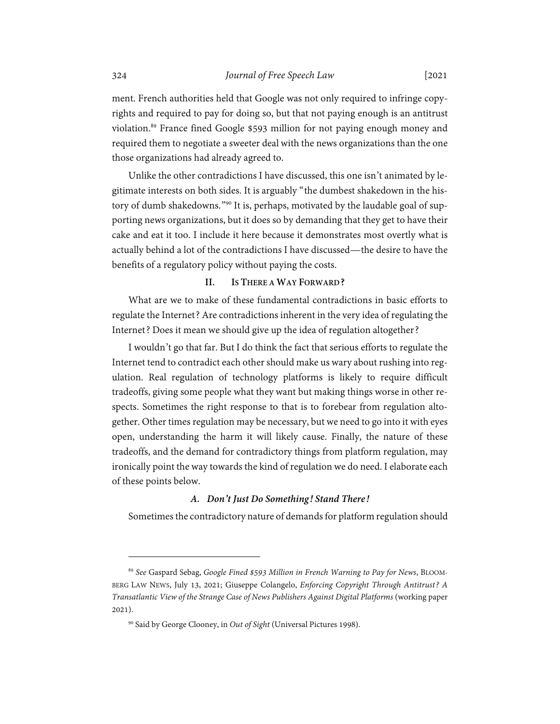ment. French authorities held that Google was not only required to infringe copyrights and required to pay for doing so, but that not paying enough is an antitrust violation.<sup>89</sup> France fined Google \$593 million for not paying enough money and required them to negotiate a sweeter deal with the news organizations than the one those organizations had already agreed to.

Unlike the other contradictions I have discussed, this one isn't animated by legitimate interests on both sides. It is arguably "the dumbest shakedown in the history of dumb shakedowns."90 It is, perhaps, motivated by the laudable goal of supporting news organizations, but it does so by demanding that they get to have their cake and eat it too. I include it here because it demonstrates most overtly what is actually behind a lot of the contradictions I have discussed—the desire to have the benefits of a regulatory policy without paying the costs.

# **II. IS THERE A WAY FORWARD?**

What are we to make of these fundamental contradictions in basic efforts to regulate the Internet? Are contradictions inherent in the very idea of regulating the Internet? Does it mean we should give up the idea of regulation altogether?

I wouldn't go that far. But I do think the fact that serious efforts to regulate the Internet tend to contradict each other should make us wary about rushing into regulation. Real regulation of technology platforms is likely to require difficult tradeoffs, giving some people what they want but making things worse in other respects. Sometimes the right response to that is to forebear from regulation altogether. Other times regulation may be necessary, but we need to go into it with eyes open, understanding the harm it will likely cause. Finally, the nature of these tradeoffs, and the demand for contradictory things from platform regulation, may ironically point the way towards the kind of regulation we do need. I elaborate each of these points below.

#### *A. Don't Just Do Something! Stand There!*

Sometimes the contradictory nature of demands for platform regulation should

<sup>89</sup> *See* Gaspard Sebag, *Google Fined \$593 Million in French Warning to Pay for News*, BLOOM-BERG LAW NEWS, July 13, 2021; Giuseppe Colangelo, *Enforcing Copyright Through Antitrust? A Transatlantic View of the Strange Case of News Publishers Against Digital Platforms* (working paper 2021).

<sup>90</sup> Said by George Clooney, in *Out of Sight* (Universal Pictures 1998).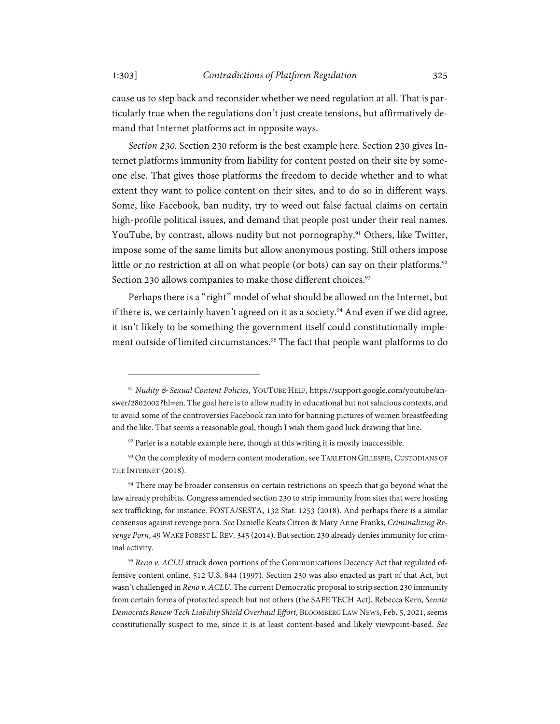cause us to step back and reconsider whether we need regulation at all. That is particularly true when the regulations don't just create tensions, but affirmatively demand that Internet platforms act in opposite ways.

*Section 230.* Section 230 reform is the best example here. Section 230 gives Internet platforms immunity from liability for content posted on their site by someone else. That gives those platforms the freedom to decide whether and to what extent they want to police content on their sites, and to do so in different ways. Some, like Facebook, ban nudity, try to weed out false factual claims on certain high-profile political issues, and demand that people post under their real names. YouTube, by contrast, allows nudity but not pornography.<sup>91</sup> Others, like Twitter, impose some of the same limits but allow anonymous posting. Still others impose little or no restriction at all on what people (or bots) can say on their platforms.<sup>92</sup> Section 230 allows companies to make those different choices.<sup>93</sup>

Perhaps there is a "right" model of what should be allowed on the Internet, but if there is, we certainly haven't agreed on it as a society.<sup>94</sup> And even if we did agree, it isn't likely to be something the government itself could constitutionally implement outside of limited circumstances.<sup>95</sup> The fact that people want platforms to do

<sup>91</sup> *Nudity & Sexual Content Policies*, YOUTUBE HELP, https://support.google.com/youtube/answer/2802002?hl=en. The goal here is to allow nudity in educational but not salacious contexts, and to avoid some of the controversies Facebook ran into for banning pictures of women breastfeeding and the like. That seems a reasonable goal, though I wish them good luck drawing that line.

 $92$  Parler is a notable example here, though at this writing it is mostly inaccessible.

<sup>93</sup> On the complexity of modern content moderation, see TARLETON GILLESPIE, CUSTODIANS OF THE INTERNET (2018).

<sup>&</sup>lt;sup>94</sup> There may be broader consensus on certain restrictions on speech that go beyond what the law already prohibits. Congress amended section 230 to strip immunity from sites that were hosting sex trafficking, for instance. FOSTA/SESTA, 132 Stat. 1253 (2018). And perhaps there is a similar consensus against revenge porn. *See* Danielle Keats Citron & Mary Anne Franks, *Criminalizing Revenge Porn*, 49 WAKE FOREST L. REV. 345 (2014). But section 230 already denies immunity for criminal activity.

<sup>95</sup> Reno v. ACLU struck down portions of the Communications Decency Act that regulated offensive content online. 512 U.S. 844 (1997). Section 230 was also enacted as part of that Act, but wasn't challenged in *Reno v. ACLU*. The current Democratic proposal to strip section 230 immunity from certain forms of protected speech but not others (the SAFE TECH Act), Rebecca Kern, *Senate Democrats Renew Tech Liability Shield Overhaul Effort*, BLOOMBERG LAW NEWS, Feb. 5, 2021, seems constitutionally suspect to me, since it is at least content-based and likely viewpoint-based. *See*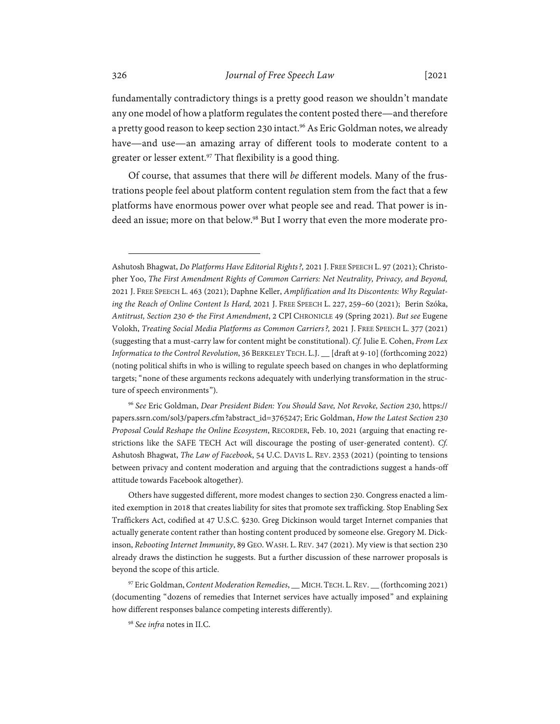fundamentally contradictory things is a pretty good reason we shouldn't mandate any one model of how a platform regulates the content posted there—and therefore a pretty good reason to keep section 230 intact.<sup>96</sup> As Eric Goldman notes, we already have—and use—an amazing array of different tools to moderate content to a greater or lesser extent.<sup>97</sup> That flexibility is a good thing.

Of course, that assumes that there will *be* different models. Many of the frustrations people feel about platform content regulation stem from the fact that a few platforms have enormous power over what people see and read. That power is indeed an issue; more on that below.<sup>98</sup> But I worry that even the more moderate pro-

<sup>96</sup> *See* Eric Goldman, *Dear President Biden: You Should Save, Not Revoke, Section 230*, https:// papers.ssrn.com/sol3/papers.cfm?abstract\_id=3765247; Eric Goldman, *How the Latest Section 230 Proposal Could Reshape the Online Ecosystem*, RECORDER, Feb. 10, 2021 (arguing that enacting restrictions like the SAFE TECH Act will discourage the posting of user-generated content). *Cf.*  Ashutosh Bhagwat, *The Law of Facebook*, 54 U.C. DAVIS L. REV. 2353 (2021) (pointing to tensions between privacy and content moderation and arguing that the contradictions suggest a hands-off attitude towards Facebook altogether).

Others have suggested different, more modest changes to section 230. Congress enacted a limited exemption in 2018 that creates liability for sites that promote sex trafficking. Stop Enabling Sex Traffickers Act, codified at 47 U.S.C. §230. Greg Dickinson would target Internet companies that actually generate content rather than hosting content produced by someone else. Gregory M. Dickinson, *Rebooting Internet Immunity*, 89 GEO. WASH. L. REV. 347 (2021). My view is that section 230 already draws the distinction he suggests. But a further discussion of these narrower proposals is beyond the scope of this article.

97 Eric Goldman, *Content Moderation Remedies*, \_\_ MICH.TECH. L.REV. \_\_ (forthcoming 2021) (documenting "dozens of remedies that Internet services have actually imposed" and explaining how different responses balance competing interests differently).

<sup>98</sup> *See infra* notes in II.C.

Ashutosh Bhagwat, *Do Platforms Have Editorial Rights?,* 2021 J. FREE SPEECH L. 97 (2021); Christopher Yoo, *The First Amendment Rights of Common Carriers: Net Neutrality, Privacy, and Beyond,*  2021 J. FREE SPEECH L. 463 (2021); Daphne Keller, *Amplification and Its Discontents: Why Regulating the Reach of Online Content Is Hard,* 2021 J. FREE SPEECH L. 227, 259–60 (2021); Berin Szóka, *Antitrust, Section 230 & the First Amendment*, 2 CPI CHRONICLE 49 (Spring 2021). *But see* Eugene Volokh, *Treating Social Media Platforms as Common Carriers?,* 2021 J. FREE SPEECH L. 377 (2021) (suggesting that a must-carry law for content might be constitutional). *Cf.* Julie E. Cohen, *From Lex Informatica to the Control Revolution*, 36 BERKELEY TECH. L.J. \_\_ [draft at 9-10] (forthcoming 2022) (noting political shifts in who is willing to regulate speech based on changes in who deplatforming targets; "none of these arguments reckons adequately with underlying transformation in the structure of speech environments").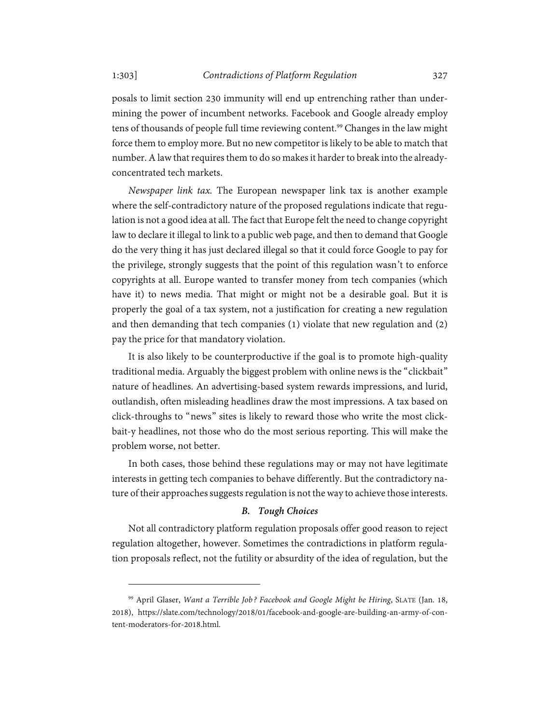posals to limit section 230 immunity will end up entrenching rather than undermining the power of incumbent networks. Facebook and Google already employ tens of thousands of people full time reviewing content.<sup>99</sup> Changes in the law might force them to employ more. But no new competitor is likely to be able to match that number. A law that requires them to do so makes it harder to break into the alreadyconcentrated tech markets.

*Newspaper link tax.* The European newspaper link tax is another example where the self-contradictory nature of the proposed regulations indicate that regulation is not a good idea at all. The fact that Europe felt the need to change copyright law to declare it illegal to link to a public web page, and then to demand that Google do the very thing it has just declared illegal so that it could force Google to pay for the privilege, strongly suggests that the point of this regulation wasn't to enforce copyrights at all. Europe wanted to transfer money from tech companies (which have it) to news media. That might or might not be a desirable goal. But it is properly the goal of a tax system, not a justification for creating a new regulation and then demanding that tech companies (1) violate that new regulation and (2) pay the price for that mandatory violation.

It is also likely to be counterproductive if the goal is to promote high-quality traditional media. Arguably the biggest problem with online news is the "clickbait" nature of headlines. An advertising-based system rewards impressions, and lurid, outlandish, often misleading headlines draw the most impressions. A tax based on click-throughs to "news" sites is likely to reward those who write the most clickbait-y headlines, not those who do the most serious reporting. This will make the problem worse, not better.

In both cases, those behind these regulations may or may not have legitimate interests in getting tech companies to behave differently. But the contradictory nature of their approaches suggests regulation is not the way to achieve those interests.

# *B. Tough Choices*

Not all contradictory platform regulation proposals offer good reason to reject regulation altogether, however. Sometimes the contradictions in platform regulation proposals reflect, not the futility or absurdity of the idea of regulation, but the

<sup>99</sup> April Glaser, *Want a Terrible Job? Facebook and Google Might be Hiring*, SLATE (Jan. 18, 2018), https://slate.com/technology/2018/01/facebook-and-google-are-building-an-army-of-content-moderators-for-2018.html.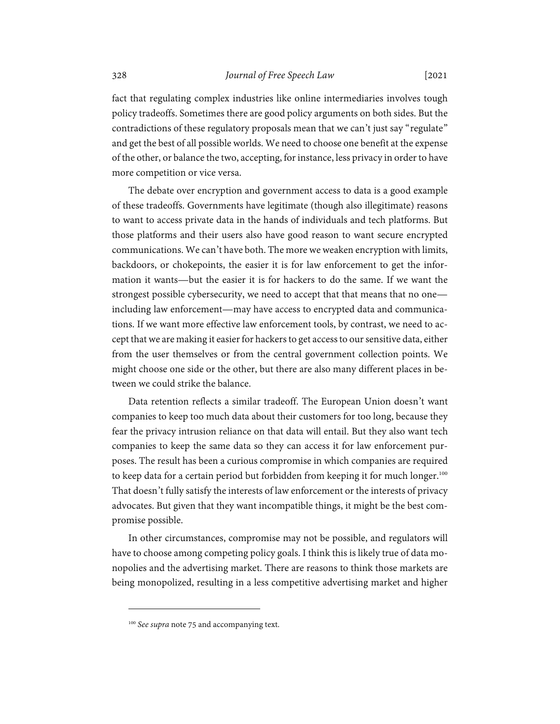fact that regulating complex industries like online intermediaries involves tough policy tradeoffs. Sometimes there are good policy arguments on both sides. But the contradictions of these regulatory proposals mean that we can't just say "regulate" and get the best of all possible worlds. We need to choose one benefit at the expense of the other, or balance the two, accepting, for instance, less privacy in order to have more competition or vice versa.

The debate over encryption and government access to data is a good example of these tradeoffs. Governments have legitimate (though also illegitimate) reasons to want to access private data in the hands of individuals and tech platforms. But those platforms and their users also have good reason to want secure encrypted communications. We can't have both. The more we weaken encryption with limits, backdoors, or chokepoints, the easier it is for law enforcement to get the information it wants—but the easier it is for hackers to do the same. If we want the strongest possible cybersecurity, we need to accept that that means that no one including law enforcement—may have access to encrypted data and communications. If we want more effective law enforcement tools, by contrast, we need to accept that we are making it easier for hackers to get access to our sensitive data, either from the user themselves or from the central government collection points. We might choose one side or the other, but there are also many different places in between we could strike the balance.

Data retention reflects a similar tradeoff. The European Union doesn't want companies to keep too much data about their customers for too long, because they fear the privacy intrusion reliance on that data will entail. But they also want tech companies to keep the same data so they can access it for law enforcement purposes. The result has been a curious compromise in which companies are required to keep data for a certain period but forbidden from keeping it for much longer.<sup>100</sup> That doesn't fully satisfy the interests of law enforcement or the interests of privacy advocates. But given that they want incompatible things, it might be the best compromise possible.

In other circumstances, compromise may not be possible, and regulators will have to choose among competing policy goals. I think this is likely true of data monopolies and the advertising market. There are reasons to think those markets are being monopolized, resulting in a less competitive advertising market and higher

<sup>&</sup>lt;sup>100</sup> See supra note 75 and accompanying text.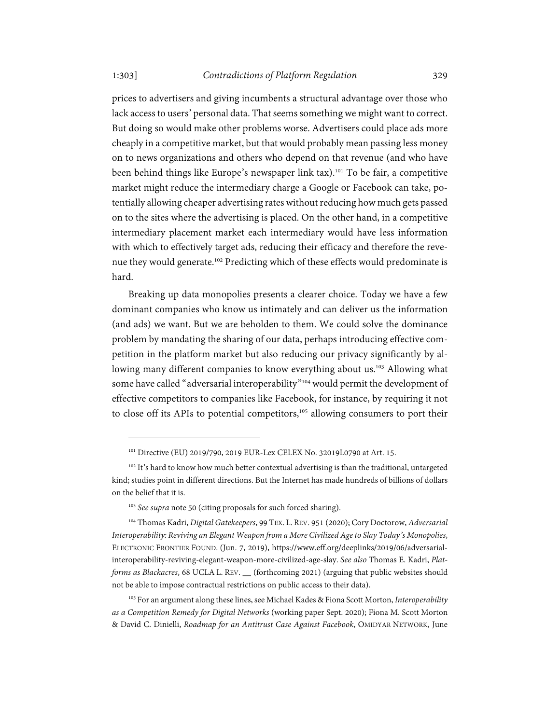### 1:303] *Contradictions of Platform Regulation* 329

prices to advertisers and giving incumbents a structural advantage over those who lack access to users' personal data. That seems something we might want to correct. But doing so would make other problems worse. Advertisers could place ads more cheaply in a competitive market, but that would probably mean passing less money on to news organizations and others who depend on that revenue (and who have been behind things like Europe's newspaper link tax).<sup>101</sup> To be fair, a competitive market might reduce the intermediary charge a Google or Facebook can take, potentially allowing cheaper advertising rates without reducing how much gets passed on to the sites where the advertising is placed. On the other hand, in a competitive intermediary placement market each intermediary would have less information with which to effectively target ads, reducing their efficacy and therefore the revenue they would generate.<sup>102</sup> Predicting which of these effects would predominate is hard.

Breaking up data monopolies presents a clearer choice. Today we have a few dominant companies who know us intimately and can deliver us the information (and ads) we want. But we are beholden to them. We could solve the dominance problem by mandating the sharing of our data, perhaps introducing effective competition in the platform market but also reducing our privacy significantly by allowing many different companies to know everything about us.<sup>103</sup> Allowing what some have called "adversarial interoperability"<sup>104</sup> would permit the development of effective competitors to companies like Facebook, for instance, by requiring it not to close off its APIs to potential competitors,<sup>105</sup> allowing consumers to port their

<sup>&</sup>lt;sup>101</sup> Directive (EU) 2019/790, 2019 EUR-Lex CELEX No. 32019L0790 at Art. 15.

<sup>&</sup>lt;sup>102</sup> It's hard to know how much better contextual advertising is than the traditional, untargeted kind; studies point in different directions. But the Internet has made hundreds of billions of dollars on the belief that it is.

<sup>&</sup>lt;sup>103</sup> *See supra* note 50 (citing proposals for such forced sharing).

<sup>104</sup> Thomas Kadri, *Digital Gatekeepers*, 99 TEX. L. REV. 951 (2020); Cory Doctorow, *Adversarial Interoperability: Reviving an Elegant Weapon from a More Civilized Age to Slay Today's Monopolies*, ELECTRONIC FRONTIER FOUND. (Jun. 7, 2019), https://www.eff.org/deeplinks/2019/06/adversarialinteroperability-reviving-elegant-weapon-more-civilized-age-slay. *See also* Thomas E. Kadri, *Platforms as Blackacres*, 68 UCLA L. REV. \_\_ (forthcoming 2021) (arguing that public websites should not be able to impose contractual restrictions on public access to their data).

<sup>105</sup> For an argument along these lines, see Michael Kades & Fiona Scott Morton, *Interoperability as a Competition Remedy for Digital Networks* (working paper Sept. 2020); Fiona M. Scott Morton & David C. Dinielli, *Roadmap for an Antitrust Case Against Facebook*, OMIDYAR NETWORK, June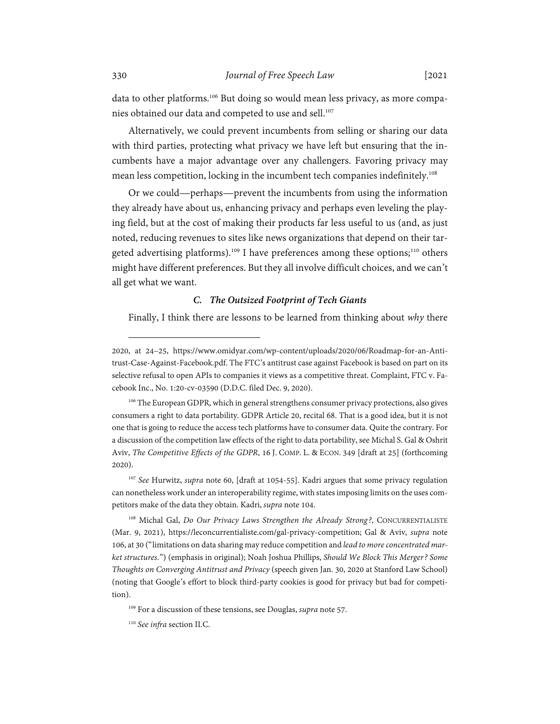data to other platforms.<sup>106</sup> But doing so would mean less privacy, as more companies obtained our data and competed to use and sell.<sup>107</sup>

Alternatively, we could prevent incumbents from selling or sharing our data with third parties, protecting what privacy we have left but ensuring that the incumbents have a major advantage over any challengers. Favoring privacy may mean less competition, locking in the incumbent tech companies indefinitely.<sup>108</sup>

Or we could—perhaps—prevent the incumbents from using the information they already have about us, enhancing privacy and perhaps even leveling the playing field, but at the cost of making their products far less useful to us (and, as just noted, reducing revenues to sites like news organizations that depend on their targeted advertising platforms).<sup>109</sup> I have preferences among these options;<sup>110</sup> others might have different preferences. But they all involve difficult choices, and we can't all get what we want.

# *C. The Outsized Footprint of Tech Giants*

Finally, I think there are lessons to be learned from thinking about *why* there

<sup>2020,</sup> at 24–25, https://www.omidyar.com/wp-content/uploads/2020/06/Roadmap-for-an-Antitrust-Case-Against-Facebook.pdf. The FTC's antitrust case against Facebook is based on part on its selective refusal to open APIs to companies it views as a competitive threat. Complaint, FTC v. Facebook Inc., No. 1:20-cv-03590 (D.D.C. filed Dec. 9, 2020).

<sup>&</sup>lt;sup>106</sup> The European GDPR, which in general strengthens consumer privacy protections, also gives consumers a right to data portability. GDPR Article 20, recital 68. That is a good idea, but it is not one that is going to reduce the access tech platforms have to consumer data. Quite the contrary. For a discussion of the competition law effects of the right to data portability, see Michal S. Gal & Oshrit Aviv, *The Competitive Effects of the GDPR*, 16 J. COMP. L. & ECON. 349 [draft at 25] (forthcoming 2020).

<sup>107</sup> *See* Hurwitz, *supra* note 60, [draft at 1054-55]. Kadri argues that some privacy regulation can nonetheless work under an interoperability regime, with states imposing limits on the uses competitors make of the data they obtain. Kadri, *supra* note 104.

<sup>108</sup> Michal Gal, *Do Our Privacy Laws Strengthen the Already Strong?*, CONCURRENTIALISTE (Mar. 9, 2021), https://leconcurrentialiste.com/gal-privacy-competition; Gal & Aviv, *supra* note 106, at 30 ("limitations on data sharing may reduce competition and *lead to more concentrated market structures*.") (emphasis in original); Noah Joshua Phillips, *Should We Block This Merger? Some Thoughts on Converging Antitrust and Privacy* (speech given Jan. 30, 2020 at Stanford Law School) (noting that Google's effort to block third-party cookies is good for privacy but bad for competition).

<sup>109</sup> For a discussion of these tensions, see Douglas, *supra* note 57.

<sup>110</sup> *See infra* section II.C.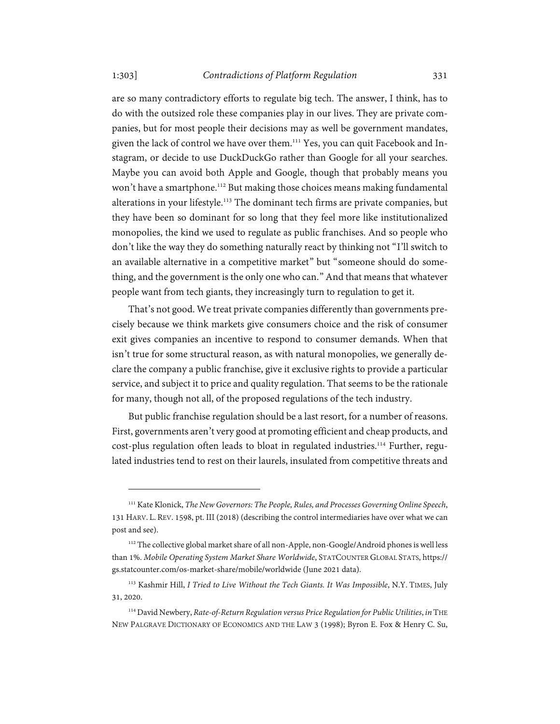1:303] *Contradictions of Platform Regulation* 331

are so many contradictory efforts to regulate big tech. The answer, I think, has to do with the outsized role these companies play in our lives. They are private companies, but for most people their decisions may as well be government mandates, given the lack of control we have over them.<sup>111</sup> Yes, you can quit Facebook and Instagram, or decide to use DuckDuckGo rather than Google for all your searches. Maybe you can avoid both Apple and Google, though that probably means you won't have a smartphone.<sup>112</sup> But making those choices means making fundamental alterations in your lifestyle.<sup>113</sup> The dominant tech firms are private companies, but they have been so dominant for so long that they feel more like institutionalized monopolies, the kind we used to regulate as public franchises. And so people who don't like the way they do something naturally react by thinking not "I'll switch to an available alternative in a competitive market" but "someone should do something, and the government is the only one who can." And that means that whatever people want from tech giants, they increasingly turn to regulation to get it.

That's not good. We treat private companies differently than governments precisely because we think markets give consumers choice and the risk of consumer exit gives companies an incentive to respond to consumer demands. When that isn't true for some structural reason, as with natural monopolies, we generally declare the company a public franchise, give it exclusive rights to provide a particular service, and subject it to price and quality regulation. That seems to be the rationale for many, though not all, of the proposed regulations of the tech industry.

But public franchise regulation should be a last resort, for a number of reasons. First, governments aren't very good at promoting efficient and cheap products, and cost-plus regulation often leads to bloat in regulated industries.114 Further, regulated industries tend to rest on their laurels, insulated from competitive threats and

<sup>111</sup> Kate Klonick, *The New Governors: The People, Rules, and Processes Governing Online Speech*, 131 HARV. L. REV. 1598, pt. III (2018) (describing the control intermediaries have over what we can post and see).

<sup>&</sup>lt;sup>112</sup> The collective global market share of all non-Apple, non-Google/Android phones is well less than 1%. *Mobile Operating System Market Share Worldwide*, STATCOUNTER GLOBAL STATS, https:// gs.statcounter.com/os-market-share/mobile/worldwide (June 2021 data).

<sup>113</sup> Kashmir Hill, *I Tried to Live Without the Tech Giants. It Was Impossible*, N.Y. TIMES, July 31, 2020.

<sup>114</sup> David Newbery, *Rate-of-Return Regulation versus Price Regulation for Public Utilities*, *in* THE NEW PALGRAVE DICTIONARY OF ECONOMICS AND THE LAW 3 (1998); Byron E. Fox & Henry C. Su,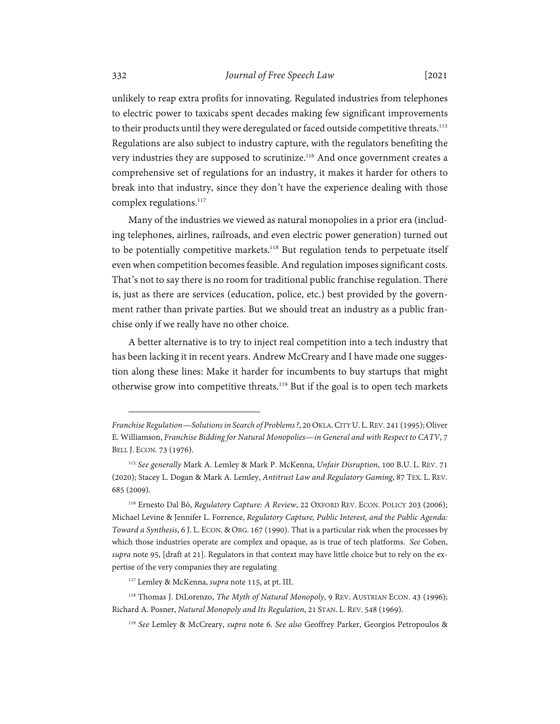unlikely to reap extra profits for innovating. Regulated industries from telephones to electric power to taxicabs spent decades making few significant improvements to their products until they were deregulated or faced outside competitive threats.<sup>115</sup> Regulations are also subject to industry capture, with the regulators benefiting the very industries they are supposed to scrutinize.<sup>116</sup> And once government creates a comprehensive set of regulations for an industry, it makes it harder for others to break into that industry, since they don't have the experience dealing with those complex regulations.<sup>117</sup>

Many of the industries we viewed as natural monopolies in a prior era (including telephones, airlines, railroads, and even electric power generation) turned out to be potentially competitive markets.<sup>118</sup> But regulation tends to perpetuate itself even when competition becomes feasible. And regulation imposes significant costs. That's not to say there is no room for traditional public franchise regulation. There is, just as there are services (education, police, etc.) best provided by the government rather than private parties. But we should treat an industry as a public franchise only if we really have no other choice.

A better alternative is to try to inject real competition into a tech industry that has been lacking it in recent years. Andrew McCreary and I have made one suggestion along these lines: Make it harder for incumbents to buy startups that might otherwise grow into competitive threats.<sup>119</sup> But if the goal is to open tech markets

*Franchise Regulation—Solutions in Search of Problems?*, 20 OKLA.CITY U.L.REV. 241 (1995); Oliver E. Williamson, *Franchise Bidding for Natural Monopolies—in General and with Respect to CATV*, 7 BELL J. ECON. 73 (1976).

<sup>115</sup> *See generally* Mark A. Lemley & Mark P. McKenna, *Unfair Disruption*, 100 B.U. L. REV. 71 (2020); Stacey L. Dogan & Mark A. Lemley, *Antitrust Law and Regulatory Gaming*, 87 TEX. L. REV. 685 (2009).

<sup>116</sup> Ernesto Dal Bó, *Regulatory Capture: A Review*, 22 OXFORD REV. ECON. POLICY 203 (2006); Michael Levine & Jennifer L. Forrence, *Regulatory Capture, Public Interest, and the Public Agenda: Toward a Synthesis*, 6 J. L. ECON.&ORG. 167 (1990). That is a particular risk when the processes by which those industries operate are complex and opaque, as is true of tech platforms. *See* Cohen, *supra* note 95, [draft at 21]. Regulators in that context may have little choice but to rely on the expertise of the very companies they are regulating

<sup>117</sup> Lemley & McKenna, *supra* note 115, at pt. III.

<sup>&</sup>lt;sup>118</sup> Thomas J. DiLorenzo, *The Myth of Natural Monopoly*, 9 REV. AUSTRIAN ECON. 43 (1996); Richard A. Posner, *Natural Monopoly and Its Regulation*, 21 STAN. L. REV. 548 (1969).

<sup>119</sup> *See* Lemley & McCreary, *supra* note 6. *See also* Geoffrey Parker, Georgios Petropoulos &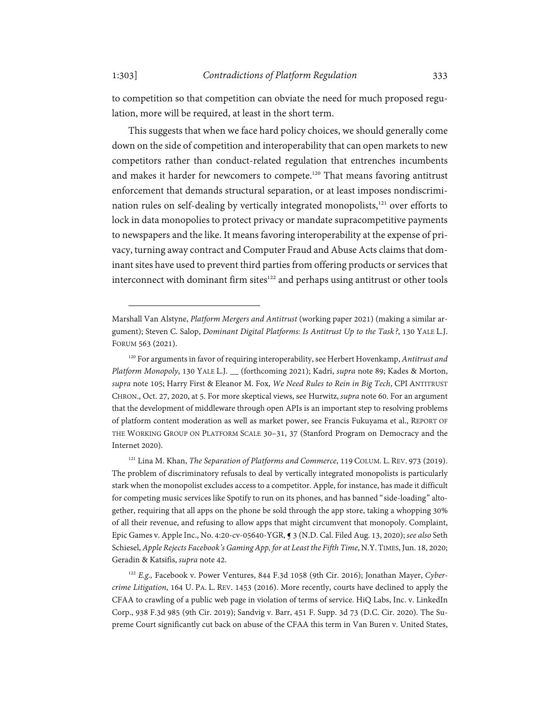to competition so that competition can obviate the need for much proposed regulation, more will be required, at least in the short term.

This suggests that when we face hard policy choices, we should generally come down on the side of competition and interoperability that can open markets to new competitors rather than conduct-related regulation that entrenches incumbents and makes it harder for newcomers to compete.<sup>120</sup> That means favoring antitrust enforcement that demands structural separation, or at least imposes nondiscrimination rules on self-dealing by vertically integrated monopolists,<sup>121</sup> over efforts to lock in data monopolies to protect privacy or mandate supracompetitive payments to newspapers and the like. It means favoring interoperability at the expense of privacy, turning away contract and Computer Fraud and Abuse Acts claims that dominant sites have used to prevent third parties from offering products or services that interconnect with dominant firm sites<sup>122</sup> and perhaps using antitrust or other tools

Marshall Van Alstyne, *Platform Mergers and Antitrust* (working paper 2021) (making a similar argument); Steven C. Salop, *Dominant Digital Platforms: Is Antitrust Up to the Task?*, 130 YALE L.J. FORUM 563 (2021).

<sup>120</sup> For arguments in favor of requiring interoperability, see Herbert Hovenkamp, *Antitrust and Platform Monopoly*, 130 YALE L.J. \_\_ (forthcoming 2021); Kadri, *supra* note 89; Kades & Morton, *supra* note 105; Harry First & Eleanor M. Fox, *We Need Rules to Rein in Big Tech*, CPI ANTITRUST CHRON., Oct. 27, 2020, at 5. For more skeptical views, see Hurwitz, *supra* note 60. For an argument that the development of middleware through open APIs is an important step to resolving problems of platform content moderation as well as market power, see Francis Fukuyama et al., REPORT OF THE WORKING GROUP ON PLATFORM SCALE 30–31, 37 (Stanford Program on Democracy and the Internet 2020).

<sup>&</sup>lt;sup>121</sup> Lina M. Khan, *The Separation of Platforms and Commerce*, 119 COLUM. L. REV. 973 (2019). The problem of discriminatory refusals to deal by vertically integrated monopolists is particularly stark when the monopolist excludes access to a competitor. Apple, for instance, has made it difficult for competing music services like Spotify to run on its phones, and has banned "side-loading" altogether, requiring that all apps on the phone be sold through the app store, taking a whopping 30% of all their revenue, and refusing to allow apps that might circumvent that monopoly. Complaint, Epic Games v. Apple Inc., No. 4:20-cv-05640-YGR, ¶ 3 (N.D. Cal. Filed Aug. 13, 2020); *see also* Seth Schiesel, *Apple Rejects Facebook's Gaming App, for at Least the Fifth Time*, N.Y.TIMES, Jun. 18, 2020; Geradin & Katsifis, *supra* note 42.

<sup>122</sup> *E.g.,* Facebook v. Power Ventures, 844 F.3d 1058 (9th Cir. 2016); Jonathan Mayer, *Cybercrime Litigation*, 164 U. PA. L. REV. 1453 (2016). More recently, courts have declined to apply the CFAA to crawling of a public web page in violation of terms of service. HiQ Labs, Inc. v. LinkedIn Corp., 938 F.3d 985 (9th Cir. 2019); Sandvig v. Barr, 451 F. Supp. 3d 73 (D.C. Cir. 2020). The Supreme Court significantly cut back on abuse of the CFAA this term in Van Buren v. United States,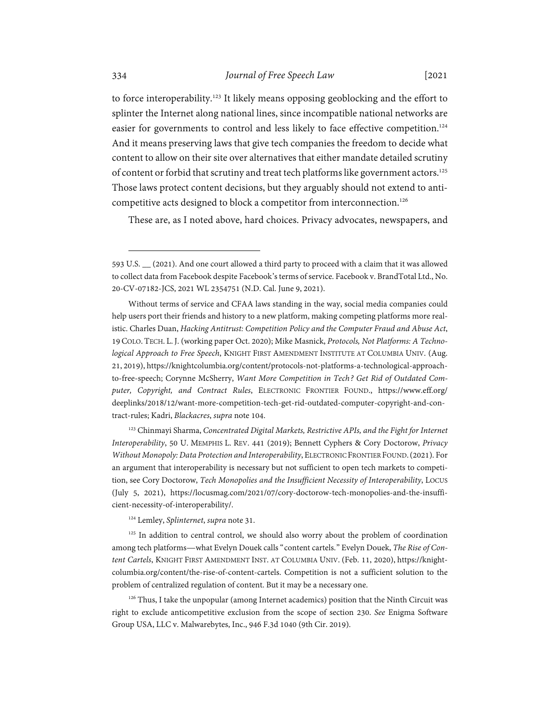to force interoperability.123 It likely means opposing geoblocking and the effort to splinter the Internet along national lines, since incompatible national networks are easier for governments to control and less likely to face effective competition.<sup>124</sup> And it means preserving laws that give tech companies the freedom to decide what content to allow on their site over alternatives that either mandate detailed scrutiny of content or forbid that scrutiny and treat tech platforms like government actors.<sup>125</sup> Those laws protect content decisions, but they arguably should not extend to anticompetitive acts designed to block a competitor from interconnection.<sup>126</sup>

These are, as I noted above, hard choices. Privacy advocates, newspapers, and

<sup>123</sup> Chinmayi Sharma, *Concentrated Digital Markets*, Restrictive APIs, and the Fight for Internet *Interoperability*, 50 U. MEMPHIS L. REV. 441 (2019); Bennett Cyphers & Cory Doctorow, *Privacy Without Monopoly: Data Protection and Interoperability*, ELECTRONIC FRONTIER FOUND.(2021). For an argument that interoperability is necessary but not sufficient to open tech markets to competition, see Cory Doctorow, *Tech Monopolies and the Insufficient Necessity of Interoperability*, LOCUS (July 5, 2021), https://locusmag.com/2021/07/cory-doctorow-tech-monopolies-and-the-insufficient-necessity-of-interoperability/.

124 Lemley, *Splinternet*, *supra* note 31.

<sup>125</sup> In addition to central control, we should also worry about the problem of coordination among tech platforms—what Evelyn Douek calls "content cartels." Evelyn Douek, *The Rise of Content Cartels*, KNIGHT FIRST AMENDMENT INST. AT COLUMBIA UNIV. (Feb. 11, 2020), https://knightcolumbia.org/content/the-rise-of-content-cartels. Competition is not a sufficient solution to the problem of centralized regulation of content. But it may be a necessary one.

 $126$  Thus, I take the unpopular (among Internet academics) position that the Ninth Circuit was right to exclude anticompetitive exclusion from the scope of section 230. *See* Enigma Software Group USA, LLC v. Malwarebytes, Inc., 946 F.3d 1040 (9th Cir. 2019).

<sup>593</sup> U.S. \_\_ (2021). And one court allowed a third party to proceed with a claim that it was allowed to collect data from Facebook despite Facebook's terms of service. Facebook v. BrandTotal Ltd., No. 20-CV-07182-JCS, 2021 WL 2354751 (N.D. Cal. June 9, 2021).

Without terms of service and CFAA laws standing in the way, social media companies could help users port their friends and history to a new platform, making competing platforms more realistic. Charles Duan, *Hacking Antitrust: Competition Policy and the Computer Fraud and Abuse Act*, 19 COLO. TECH. L. J. (working paper Oct. 2020); Mike Masnick, *Protocols, Not Platforms: A Technological Approach to Free Speech*, KNIGHT FIRST AMENDMENT INSTITUTE AT COLUMBIA UNIV. (Aug. 21, 2019), https://knightcolumbia.org/content/protocols-not-platforms-a-technological-approachto-free-speech; Corynne McSherry, *Want More Competition in Tech? Get Rid of Outdated Computer, Copyright, and Contract Rules*, ELECTRONIC FRONTIER FOUND., https://www.eff.org/ deeplinks/2018/12/want-more-competition-tech-get-rid-outdated-computer-copyright-and-contract-rules; Kadri, *Blackacres*, *supra* note 104.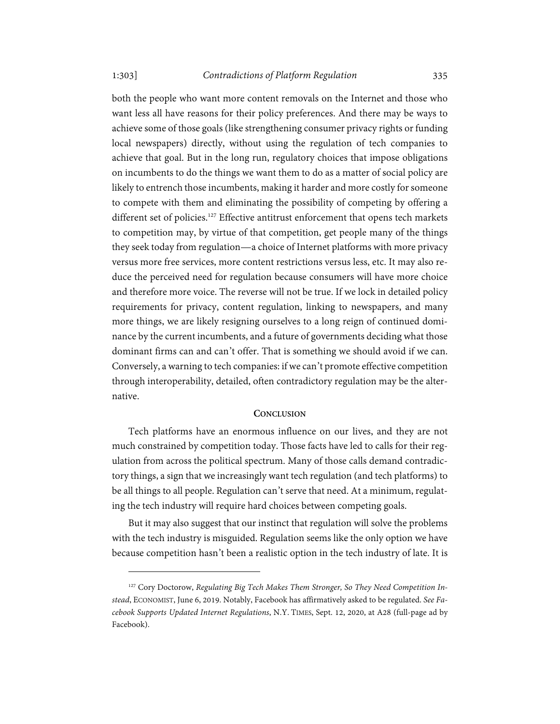1:303] *Contradictions of Platform Regulation* 335

both the people who want more content removals on the Internet and those who want less all have reasons for their policy preferences. And there may be ways to achieve some of those goals (like strengthening consumer privacy rights or funding local newspapers) directly, without using the regulation of tech companies to achieve that goal. But in the long run, regulatory choices that impose obligations on incumbents to do the things we want them to do as a matter of social policy are likely to entrench those incumbents, making it harder and more costly for someone to compete with them and eliminating the possibility of competing by offering a different set of policies.<sup>127</sup> Effective antitrust enforcement that opens tech markets to competition may, by virtue of that competition, get people many of the things they seek today from regulation—a choice of Internet platforms with more privacy versus more free services, more content restrictions versus less, etc. It may also reduce the perceived need for regulation because consumers will have more choice and therefore more voice. The reverse will not be true. If we lock in detailed policy requirements for privacy, content regulation, linking to newspapers, and many more things, we are likely resigning ourselves to a long reign of continued dominance by the current incumbents, and a future of governments deciding what those dominant firms can and can't offer. That is something we should avoid if we can. Conversely, a warning to tech companies: if we can't promote effective competition through interoperability, detailed, often contradictory regulation may be the alternative.

#### **CONCLUSION**

Tech platforms have an enormous influence on our lives, and they are not much constrained by competition today. Those facts have led to calls for their regulation from across the political spectrum. Many of those calls demand contradictory things, a sign that we increasingly want tech regulation (and tech platforms) to be all things to all people. Regulation can't serve that need. At a minimum, regulating the tech industry will require hard choices between competing goals.

But it may also suggest that our instinct that regulation will solve the problems with the tech industry is misguided. Regulation seems like the only option we have because competition hasn't been a realistic option in the tech industry of late. It is

<sup>&</sup>lt;sup>127</sup> Cory Doctorow, Regulating Big Tech Makes Them Stronger, So They Need Competition In*stead*, ECONOMIST, June 6, 2019. Notably, Facebook has affirmatively asked to be regulated. *See Facebook Supports Updated Internet Regulations*, N.Y. TIMES, Sept. 12, 2020, at A28 (full-page ad by Facebook).